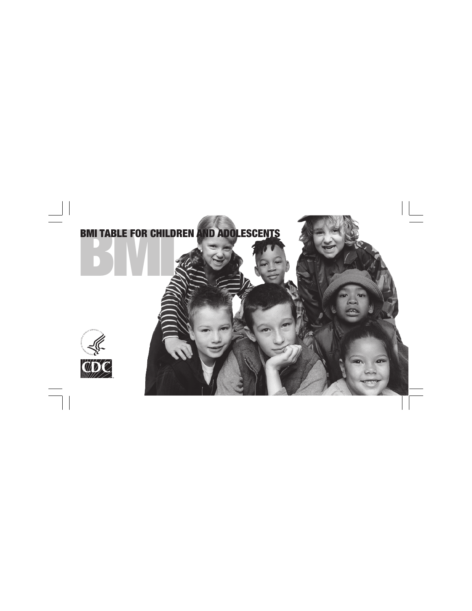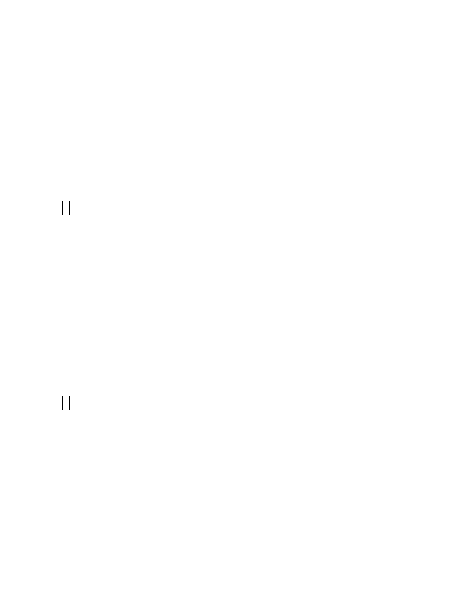$\begin{tabular}{|c|c|c|c|c|} \hline & & & & \\ \hline \hline & & & & \\ \hline \hline & & & & \\ \hline \hline \end{tabular}$  $\frac{1}{\sqrt{2}}$ 

 $\sqrt{\frac{1}{\sqrt{2}}}$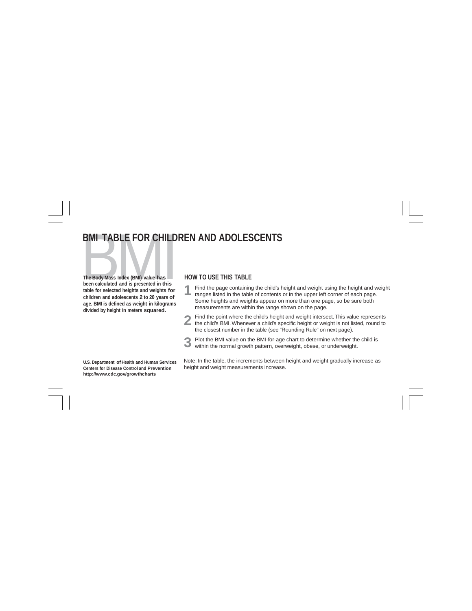### **BMI TABLE FOR CHILDREN AND ADOLESCENTS**

**BMI TABLE FOR CHILD**<br>The Body Mass Index (BMI) value has<br>been calculated and is presented in this<br>table for selected heights and weights for **been calculated and is presented in this table for selected heights and weights for children and adolescents 2 to 20 years of age. BMI is defined as weight in kilograms divided by height in meters squared.**

#### **The Body Mass Index (BMI) value has HOW TO USE THIS TABLE**

- **1** Find the page containing the child's height and weight using the height and weight ranges listed in the table of contents or in the upper left corner of each page. Some heights and weights appear on more than one page, so be sure both measurements are within the range shown on the page.
- 2 Find the point where the child's height and weight intersect. This value represents the child's BMI. Whenever a child's specific height or weight is not listed, round to the child's BMI. Whenever a child's specific height or weight is not listed, round to the closest number in the table (see "Rounding Rule" on next page).
- **3** Plot the BMI value on the BMI-for-age chart to determine whether the child is within the normal growth pattern, overweight, obese, or underweight.

**U.S. Department of Health and Human Services Centers for Disease Control and Prevention <http://www.cdc.gov/growthcharts>**

Note: In the table, the increments between height and weight gradually increase as height and weight measurements increase.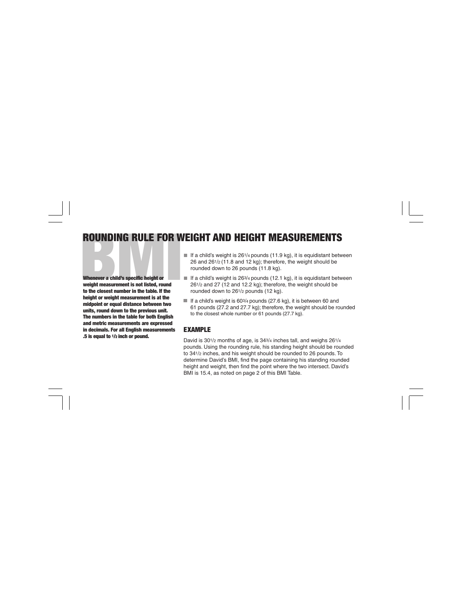**Whenever a child's specific height or weight measurement is not listed, round to the closest number in the table. If the height or weight measurement is at the midpoint or equal distance between two units, round down to the previous unit. The numbers in the table for both English and metric measurements are expressed in decimals. For all English measurements .5 is equal to 1/2 inch or pound.**

 $\Box$ 

- **BOUNDING RULE FOR WEIGHT AND HEIGHT MEASUREMENTS**<br>
If a child's weight is 26<sup>1/4</sup> pounds (11.9 kg), it is equidistant betw<br>
<sup>26</sup> and 26<sup>1/2</sup> (11.8 and 12 kg); therefore, the weight should be<br> **Whenever a child's specific** If a child's weight is  $261/4$  pounds (11.9 kg), it is equidistant between 26 and 261/2 (11.8 and 12 kg); therefore, the weight should be rounded down to 26 pounds (11.8 kg).
	- If a child's weight is 263/4 pounds (12.1 kg), it is equidistant between 261/2 and 27 (12 and 12.2 kg); therefore, the weight should be rounded down to 261/2 pounds (12 kg).
	- If a child's weight is 603/4 pounds (27.6 kg), it is between 60 and 61 pounds (27.2 and 27.7 kg); therefore, the weight should be rounded to the closest whole number or 61 pounds (27.7 kg).

#### **EXAMPLE**

David is 301/2 months of age, is 343/4 inches tall, and weighs 261/4 pounds. Using the rounding rule, his standing height should be rounded to 341/2 inches, and his weight should be rounded to 26 pounds. To determine David's BMI, find the page containing his standing rounded height and weight, then find the point where the two intersect. David's BMI is 15.4, as noted on page 2 of this BMI Table.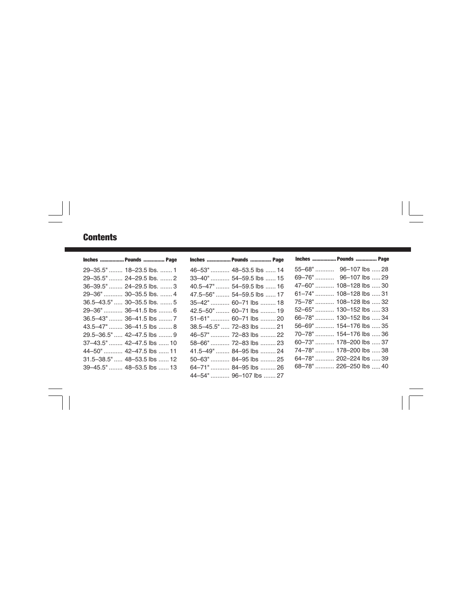## **Contents**

 $\mathbf{\underline{}}^+$ 

 $\overline{\overline{\mathbb{u}}}$ 

| Inches  Pounds  Page        |  |
|-----------------------------|--|
| 29-35.5"  18-23.5 lbs.  1   |  |
| 29-35.5"  24-29.5 lbs.  2   |  |
| 36-39.5"  24-29.5 lbs.  3   |  |
| 29-36"  30-35.5 lbs.  4     |  |
| 36.5-43.5"  30-35.5 lbs.  5 |  |
| 29-36"  36-41.5 lbs  6      |  |
| 36.5–43"  36–41.5 lbs  7    |  |
| 43.5-47"  36-41.5 lbs  8    |  |
| 29.5-36.5" , 42-47.5 lbs  9 |  |
| 37-43.5"  42-47.5 lbs  10   |  |
| 44-50"  42-47.5 lbs  11     |  |
| 31.5-38.5"  48-53.5 lbs  12 |  |
| 39-45.5"  48-53.5 lbs  13   |  |
|                             |  |

| Inches  Pounds  Page        | Inches  Pounds  Page             | Inches  Pounds  Page    |
|-----------------------------|----------------------------------|-------------------------|
| 29–35.5"  18–23.5 lbs.  1   | 46–53"  48–53.5 lbs  14          |                         |
| 29–35.5"  24–29.5 lbs.  2   | $33-40$ "  54–59.5 lbs  15       |                         |
| 36–39.5"  24–29.5 lbs.  3   | $40.5 - 47$ "  54–59.5 lbs  16   | 47-60"  108-128 lbs  30 |
| 29–36"  30–35.5 lbs.  4     | 47.5–56"  54–59.5 lbs  17        | 61–74"  108–128 lbs  31 |
| 36.5–43.5"  30–35.5 lbs.  5 | $35-42$ "  60-71 lbs  18         | 75-78"  108-128 lbs  32 |
| 29–36"  36–41.5 lbs  6      | 42.5-50"  60-71 lbs  19          | 52–65"  130–152 lbs  33 |
| 36.5–43"  36–41.5 lbs  7    | $51-61$ "  60-71 lbs  20         | 66–78"  130–152 lbs  34 |
| 43.5–47"  36–41.5 lbs  8    | $38.5 - 45.5$ " $72 - 83$ lbs 21 | 56-69"  154-176 lbs  35 |
| 29.5–36.5"  42–47.5 lbs  9  | 46-57"  72-83 lbs  22            | 70–78"  154–176 lbs  36 |
| 37–43.5"  42–47.5 lbs  10   | 58-66"  72-83 lbs  23            | 60-73"  178-200 lbs  37 |
| 44–50"  42–47.5 lbs  11     | $41.5 - 49$ "  84-95 lbs  24     | 74-78"  178-200 lbs  38 |
| 31.5–38.5"  48–53.5 lbs  12 | $50-63$ "  84-95 lbs  25         | 64-78"  202-224 lbs  39 |
| 39–45.5"  48–53.5 lbs  13   | 64-71"  84-95 lbs  26            | 68-78"  226-250 lbs  40 |
|                             | 44-54"  96-107 lbs  27           |                         |

| 47-60"  108-128 lbs  30 |
|-------------------------|
| 61–74"  108–128 lbs  31 |
| 75-78"  108-128 lbs  32 |
| 52-65"  130-152 lbs  33 |
| 66-78"  130-152 lbs  34 |
| 56-69"  154-176 lbs  35 |
| 70–78"  154–176 lbs 36  |
| 60-73"  178-200 lbs  37 |
| 74-78"  178-200 lbs  38 |
| 64–78"  202–224 lbs  39 |
| 68-78"  226-250 lbs  40 |

 $\overline{\overline{\Gamma}}$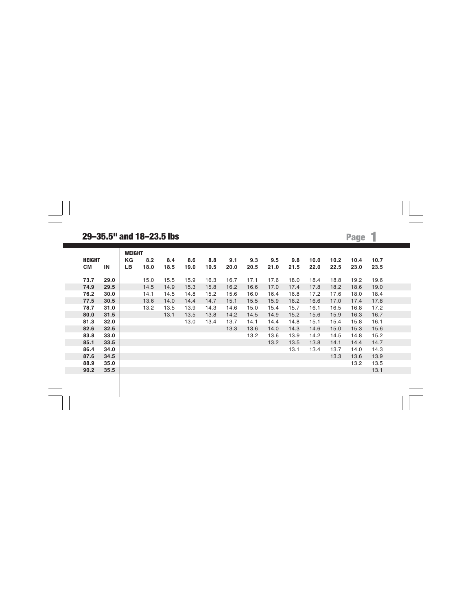**29–35.5" and 18–23.5 lbs**

<span id="page-5-0"></span> $\mathbf{\underline{}}$ 

 $\overline{\mathbb{u}}$ 

|               |      | <b>WEIGHT</b> |      |      |      |      |      |      |      |      |      |      |      |      |  |
|---------------|------|---------------|------|------|------|------|------|------|------|------|------|------|------|------|--|
| <b>HEIGHT</b> |      | ΚG            | 8.2  | 8.4  | 8.6  | 8.8  | 9.1  | 9.3  | 9.5  | 9.8  | 10.0 | 10.2 | 10.4 | 10.7 |  |
| CМ            | IN   | LВ            | 18.0 | 18.5 | 19.0 | 19.5 | 20.0 | 20.5 | 21.0 | 21.5 | 22.0 | 22.5 | 23.0 | 23.5 |  |
| 73.7          | 29.0 |               | 15.0 | 15.5 | 15.9 | 16.3 | 16.7 | 17.1 | 17.6 | 18.0 | 18.4 | 18.8 | 19.2 | 19.6 |  |
| 74.9          | 29.5 |               | 14.5 | 14.9 | 15.3 | 15.8 | 16.2 | 16.6 | 17.0 | 17.4 | 17.8 | 18.2 | 18.6 | 19.0 |  |
| 76.2          | 30.0 |               | 14.1 | 14.5 | 14.8 | 15.2 | 15.6 | 16.0 | 16.4 | 16.8 | 17.2 | 17.6 | 18.0 | 18.4 |  |
| 77.5          | 30.5 |               | 13.6 | 14.0 | 14.4 | 14.7 | 15.1 | 15.5 | 15.9 | 16.2 | 16.6 | 17.0 | 17.4 | 17.8 |  |
| 78.7          | 31.0 |               | 13.2 | 13.5 | 13.9 | 14.3 | 14.6 | 15.0 | 15.4 | 15.7 | 16.1 | 16.5 | 16.8 | 17.2 |  |
| 80.0          | 31.5 |               |      | 13.1 | 13.5 | 13.8 | 14.2 | 14.5 | 14.9 | 15.2 | 15.6 | 15.9 | 16.3 | 16.7 |  |
| 81.3          | 32.0 |               |      |      | 13.0 | 13.4 | 13.7 | 14.1 | 14.4 | 14.8 | 15.1 | 15.4 | 15.8 | 16.1 |  |
| 82.6          | 32.5 |               |      |      |      |      | 13.3 | 13.6 | 14.0 | 14.3 | 14.6 | 15.0 | 15.3 | 15.6 |  |
| 83.8          | 33.0 |               |      |      |      |      |      | 13.2 | 13.6 | 13.9 | 14.2 | 14.5 | 14.8 | 15.2 |  |
| 85.1          | 33.5 |               |      |      |      |      |      |      | 13.2 | 13.5 | 13.8 | 14.1 | 14.4 | 14.7 |  |
| 86.4          | 34.0 |               |      |      |      |      |      |      |      | 13.1 | 13.4 | 13.7 | 14.0 | 14.3 |  |
| 87.6          | 34.5 |               |      |      |      |      |      |      |      |      |      | 13.3 | 13.6 | 13.9 |  |
| 88.9          | 35.0 |               |      |      |      |      |      |      |      |      |      |      | 13.2 | 13.5 |  |
| 90.2          | 35.5 |               |      |      |      |      |      |      |      |      |      |      |      | 13.1 |  |
|               |      |               |      |      |      |      |      |      |      |      |      |      |      |      |  |
|               |      |               |      |      |      |      |      |      |      |      |      |      |      |      |  |
|               |      |               |      |      |      |      |      |      |      |      |      |      |      |      |  |

 $\mathbb{L}$ 

**Page 1**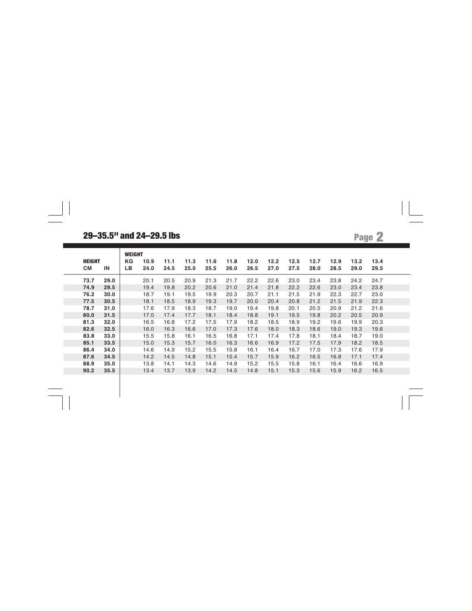<span id="page-6-0"></span>**29–35.5" and 24–29.5 lbs**

 $\frac{1}{\sqrt{2}}$ 

|  | $\sim$ |  |
|--|--------|--|

|               |      | <b>WEIGHT</b> |      |      |      |      |      |      |      |      |      |      |      |      |
|---------------|------|---------------|------|------|------|------|------|------|------|------|------|------|------|------|
| <b>HEIGHT</b> |      | ΚG            | 10.9 | 11.1 | 11.3 | 11.6 | 11.8 | 12.0 | 12.2 | 12.5 | 12.7 | 12.9 | 13.2 | 13.4 |
| CМ            | IN   | LВ            | 24.0 | 24.5 | 25.0 | 25.5 | 26.0 | 26.5 | 27.0 | 27.5 | 28.0 | 28.5 | 29.0 | 29.5 |
| 73.7          | 29.0 |               | 20.1 | 20.5 | 20.9 | 21.3 | 21.7 | 22.2 | 22.6 | 23.0 | 23.4 | 23.8 | 24.2 | 24.7 |
| 74.9          | 29.5 |               | 19.4 | 19.8 | 20.2 | 20.6 | 21.0 | 21.4 | 21.8 | 22.2 | 22.6 | 23.0 | 23.4 | 23.8 |
| 76.2          | 30.0 |               | 18.7 | 19.1 | 19.5 | 19.9 | 20.3 | 20.7 | 21.1 | 21.5 | 21.9 | 22.3 | 22.7 | 23.0 |
| 77.5          | 30.5 |               | 18.1 | 18.5 | 18.9 | 19.3 | 19.7 | 20.0 | 20.4 | 20.8 | 21.2 | 21.5 | 21.9 | 22.3 |
| 78.7          | 31.0 |               | 17.6 | 17.9 | 18.3 | 18.7 | 19.0 | 19.4 | 19.8 | 20.1 | 20.5 | 20.9 | 21.2 | 21.6 |
| 80.0          | 31.5 |               | 17.0 | 17.4 | 17.7 | 18.1 | 18.4 | 18.8 | 19.1 | 19.5 | 19.8 | 20.2 | 20.5 | 20.9 |
| 81.3          | 32.0 |               | 16.5 | 16.8 | 17.2 | 17.5 | 17.9 | 18.2 | 18.5 | 18.9 | 19.2 | 19.6 | 19.9 | 20.3 |
| 82.6          | 32.5 |               | 16.0 | 16.3 | 16.6 | 17.0 | 17.3 | 17.6 | 18.0 | 18.3 | 18.6 | 19.0 | 19.3 | 19.6 |
| 83.8          | 33.0 |               | 15.5 | 15.8 | 16.1 | 16.5 | 16.8 | 17.1 | 17.4 | 17.8 | 18.1 | 18.4 | 18.7 | 19.0 |
| 85.1          | 33.5 |               | 15.0 | 15.3 | 15.7 | 16.0 | 16.3 | 16.6 | 16.9 | 17.2 | 17.5 | 17.9 | 18.2 | 18.5 |
| 86.4          | 34.0 |               | 14.6 | 14.9 | 15.2 | 15.5 | 15.8 | 16.1 | 16.4 | 16.7 | 17.0 | 17.3 | 17.6 | 17.9 |
| 87.6          | 34.5 |               | 14.2 | 14.5 | 14.8 | 15.1 | 15.4 | 15.7 | 15.9 | 16.2 | 16.5 | 16.8 | 17.1 | 17.4 |
| 88.9          | 35.0 |               | 13.8 | 14.1 | 14.3 | 14.6 | 14.9 | 15.2 | 15.5 | 15.8 | 16.1 | 16.4 | 16.6 | 16.9 |
| 90.2          | 35.5 |               | 13.4 | 13.7 | 13.9 | 14.2 | 14.5 | 14.8 | 15.1 | 15.3 | 15.6 | 15.9 | 16.2 | 16.5 |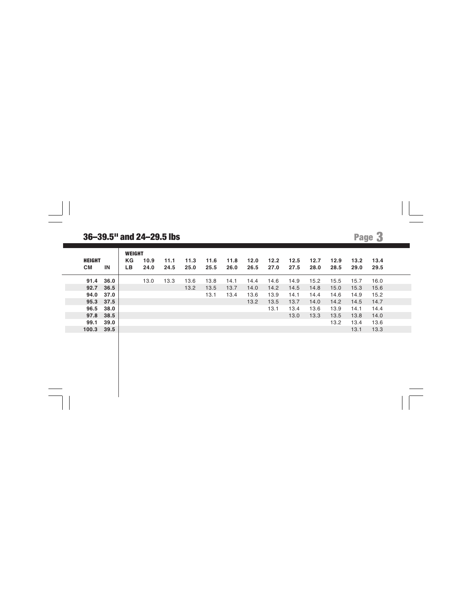$\sqrt{2}$ 

# **36–39.5" and 24–29.5 lbs Page Page 3**

<span id="page-7-0"></span> $\equiv$ 

 $\frac{1}{\sqrt{2}}$ 

| <b>HEIGHT</b><br>CМ | IN   | <b>WEIGHT</b><br>ΚG<br>LВ | 10.9<br>24.0 | 11.1<br>24.5 | 11.3<br>25.0 | 11.6<br>25.5 | 11.8<br>26.0 | 12.0<br>26.5 | 12.2<br>27.0 | 12.5<br>27.5 | 12.7<br>28.0 | 12.9<br>28.5 | 13.2<br>29.0 | 13.4<br>29.5 |
|---------------------|------|---------------------------|--------------|--------------|--------------|--------------|--------------|--------------|--------------|--------------|--------------|--------------|--------------|--------------|
| 91.4                | 36.0 |                           | 13.0         | 13.3         | 13.6         | 13.8         | 14.1         | 14.4         | 14.6         | 14.9         | 15.2         | 15.5         | 15.7         | 16.0         |
| 92.7                | 36.5 |                           |              |              | 13.2         | 13.5         | 13.7         | 14.0         | 14.2         | 14.5         | 14.8         | 15.0         | 15.3         | 15.6         |
| 94.0 37.0           |      |                           |              |              |              | 13.1         | 13.4         | 13.6         | 13.9         | 14.1         | 14.4         | 14.6         | 14.9         | 15.2         |
| 95.3 37.5           |      |                           |              |              |              |              |              | 13.2         | 13.5         | 13.7         | 14.0         | 14.2         | 14.5         | 14.7         |
| 96.5                | 38.0 |                           |              |              |              |              |              |              | 13.1         | 13.4         | 13.6         | 13.9         | 14.1         | 14.4         |
| 97.8                | 38.5 |                           |              |              |              |              |              |              |              | 13.0         | 13.3         | 13.5         | 13.8         | 14.0         |
| 99.1                | 39.0 |                           |              |              |              |              |              |              |              |              |              | 13.2         | 13.4         | 13.6         |
| 100.3 39.5          |      |                           |              |              |              |              |              |              |              |              |              |              | 13.1         | 13.3         |
|                     |      |                           |              |              |              |              |              |              |              |              |              |              |              |              |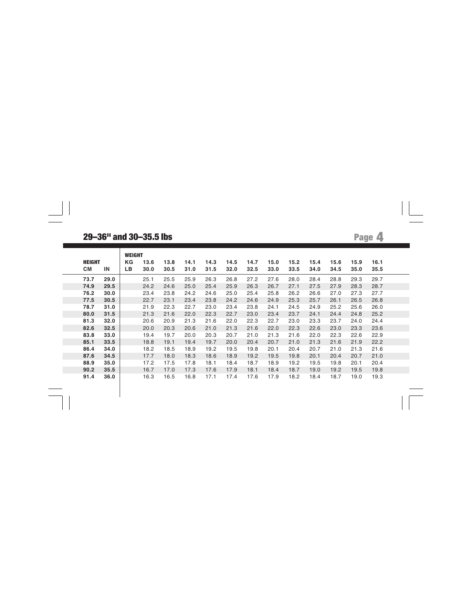**29–36" and 30–35.5 lbs Page Page 4**

<span id="page-8-0"></span> $\mathrel{\underline{\sqcup}}$ 

| <b>HEIGHT</b> |      | <b>WEIGHT</b><br>ΚG | 13.6 | 13.8 | 14.1 | 14.3 | 14.5 | 14.7 | 15.0 | 15.2 | 15.4 | 15.6 | 15.9 | 16.1 |  |
|---------------|------|---------------------|------|------|------|------|------|------|------|------|------|------|------|------|--|
| CМ            | IN   | LB.                 | 30.0 | 30.5 | 31.0 | 31.5 | 32.0 | 32.5 | 33.0 | 33.5 | 34.0 | 34.5 | 35.0 | 35.5 |  |
| 73.7          | 29.0 |                     | 25.1 | 25.5 | 25.9 | 26.3 | 26.8 | 27.2 | 27.6 | 28.0 | 28.4 | 28.8 | 29.3 | 29.7 |  |
| 74.9          | 29.5 |                     | 24.2 | 24.6 | 25.0 | 25.4 | 25.9 | 26.3 | 26.7 | 27.1 | 27.5 | 27.9 | 28.3 | 28.7 |  |
| 76.2          | 30.0 |                     | 23.4 | 23.8 | 24.2 | 24.6 | 25.0 | 25.4 | 25.8 | 26.2 | 26.6 | 27.0 | 27.3 | 27.7 |  |
| 77.5          | 30.5 |                     | 22.7 | 23.1 | 23.4 | 23.8 | 24.2 | 24.6 | 24.9 | 25.3 | 25.7 | 26.1 | 26.5 | 26.8 |  |
| 78.7          | 31.0 |                     | 21.9 | 22.3 | 22.7 | 23.0 | 23.4 | 23.8 | 24.1 | 24.5 | 24.9 | 25.2 | 25.6 | 26.0 |  |
| 80.0          | 31.5 |                     | 21.3 | 21.6 | 22.0 | 22.3 | 22.7 | 23.0 | 23.4 | 23.7 | 24.1 | 24.4 | 24.8 | 25.2 |  |
| 81.3          | 32.0 |                     | 20.6 | 20.9 | 21.3 | 21.6 | 22.0 | 22.3 | 22.7 | 23.0 | 23.3 | 23.7 | 24.0 | 24.4 |  |
| 82.6          | 32.5 |                     | 20.0 | 20.3 | 20.6 | 21.0 | 21.3 | 21.6 | 22.0 | 22.3 | 22.6 | 23.0 | 23.3 | 23.6 |  |
| 83.8          | 33.0 |                     | 19.4 | 19.7 | 20.0 | 20.3 | 20.7 | 21.0 | 21.3 | 21.6 | 22.0 | 22.3 | 22.6 | 22.9 |  |
| 85.1          | 33.5 |                     | 18.8 | 19.1 | 19.4 | 19.7 | 20.0 | 20.4 | 20.7 | 21.0 | 21.3 | 21.6 | 21.9 | 22.2 |  |
| 86.4          | 34.0 |                     | 18.2 | 18.5 | 18.9 | 19.2 | 19.5 | 19.8 | 20.1 | 20.4 | 20.7 | 21.0 | 21.3 | 21.6 |  |
| 87.6          | 34.5 |                     | 17.7 | 18.0 | 18.3 | 18.6 | 18.9 | 19.2 | 19.5 | 19.8 | 20.1 | 20.4 | 20.7 | 21.0 |  |
| 88.9          | 35.0 |                     | 17.2 | 17.5 | 17.8 | 18.1 | 18.4 | 18.7 | 18.9 | 19.2 | 19.5 | 19.8 | 20.1 | 20.4 |  |
| 90.2          | 35.5 |                     | 16.7 | 17.0 | 17.3 | 17.6 | 17.9 | 18.1 | 18.4 | 18.7 | 19.0 | 19.2 | 19.5 | 19.8 |  |
| 91.4          | 36.0 |                     | 16.3 | 16.5 | 16.8 | 17.1 | 17.4 | 17.6 | 17.9 | 18.2 | 18.4 | 18.7 | 19.0 | 19.3 |  |
|               |      |                     |      |      |      |      |      |      |      |      |      |      |      |      |  |
|               |      |                     |      |      |      |      |      |      |      |      |      |      |      |      |  |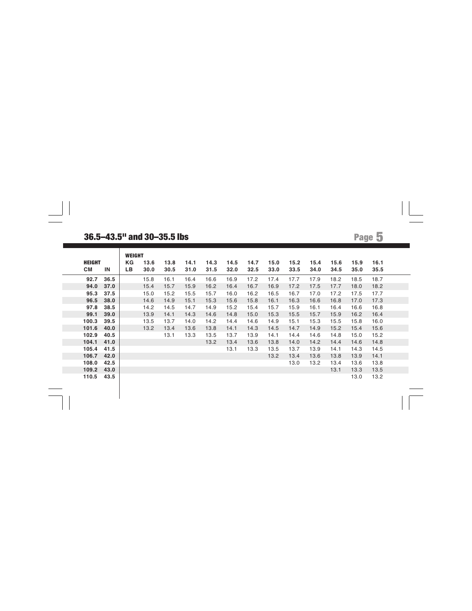# **36.5–43.5" and 30–35.5 lbs Page Page 5**

<span id="page-9-0"></span> $\mathbf{r}$ 

|               |      | <b>WEIGHT</b> |      |      |      |      |      |      |      |      |      |      |      |      |  |
|---------------|------|---------------|------|------|------|------|------|------|------|------|------|------|------|------|--|
| <b>HEIGHT</b> |      | ΚG            | 13.6 | 13.8 | 14.1 | 14.3 | 14.5 | 14.7 | 15.0 | 15.2 | 15.4 | 15.6 | 15.9 | 16.1 |  |
| <b>CM</b>     | IN   | LB.           | 30.0 | 30.5 | 31.0 | 31.5 | 32.0 | 32.5 | 33.0 | 33.5 | 34.0 | 34.5 | 35.0 | 35.5 |  |
| 92.7          | 36.5 |               | 15.8 | 16.1 | 16.4 | 16.6 | 16.9 | 17.2 | 17.4 | 17.7 | 17.9 | 18.2 | 18.5 | 18.7 |  |
| 94.0          | 37.0 |               | 15.4 | 15.7 | 15.9 | 16.2 | 16.4 | 16.7 | 16.9 | 17.2 | 17.5 | 17.7 | 18.0 | 18.2 |  |
| 95.3          | 37.5 |               | 15.0 | 15.2 | 15.5 | 15.7 | 16.0 | 16.2 | 16.5 | 16.7 | 17.0 | 17.2 | 17.5 | 17.7 |  |
| 96.5          | 38.0 |               | 14.6 | 14.9 | 15.1 | 15.3 | 15.6 | 15.8 | 16.1 | 16.3 | 16.6 | 16.8 | 17.0 | 17.3 |  |
| 97.8          | 38.5 |               | 14.2 | 14.5 | 14.7 | 14.9 | 15.2 | 15.4 | 15.7 | 15.9 | 16.1 | 16.4 | 16.6 | 16.8 |  |
| 99.1          | 39.0 |               | 13.9 | 14.1 | 14.3 | 14.6 | 14.8 | 15.0 | 15.3 | 15.5 | 15.7 | 15.9 | 16.2 | 16.4 |  |
| 100.3         | 39.5 |               | 13.5 | 13.7 | 14.0 | 14.2 | 14.4 | 14.6 | 14.9 | 15.1 | 15.3 | 15.5 | 15.8 | 16.0 |  |
| 101.6         | 40.0 |               | 13.2 | 13.4 | 13.6 | 13.8 | 14.1 | 14.3 | 14.5 | 14.7 | 14.9 | 15.2 | 15.4 | 15.6 |  |
| 102.9         | 40.5 |               |      | 13.1 | 13.3 | 13.5 | 13.7 | 13.9 | 14.1 | 14.4 | 14.6 | 14.8 | 15.0 | 15.2 |  |
| 104.1         | 41.0 |               |      |      |      | 13.2 | 13.4 | 13.6 | 13.8 | 14.0 | 14.2 | 14.4 | 14.6 | 14.8 |  |
| 105.4         | 41.5 |               |      |      |      |      | 13.1 | 13.3 | 13.5 | 13.7 | 13.9 | 14.1 | 14.3 | 14.5 |  |
| 106.7         | 42.0 |               |      |      |      |      |      |      | 13.2 | 13.4 | 13.6 | 13.8 | 13.9 | 14.1 |  |
| 108.0         | 42.5 |               |      |      |      |      |      |      |      | 13.0 | 13.2 | 13.4 | 13.6 | 13.8 |  |
| 109.2         | 43.0 |               |      |      |      |      |      |      |      |      |      | 13.1 | 13.3 | 13.5 |  |
| 110.5         | 43.5 |               |      |      |      |      |      |      |      |      |      |      | 13.0 | 13.2 |  |
|               |      |               |      |      |      |      |      |      |      |      |      |      |      |      |  |
|               |      |               |      |      |      |      |      |      |      |      |      |      |      |      |  |
|               |      |               |      |      |      |      |      |      |      |      |      |      |      |      |  |
|               |      |               |      |      |      |      |      |      |      |      |      |      |      |      |  |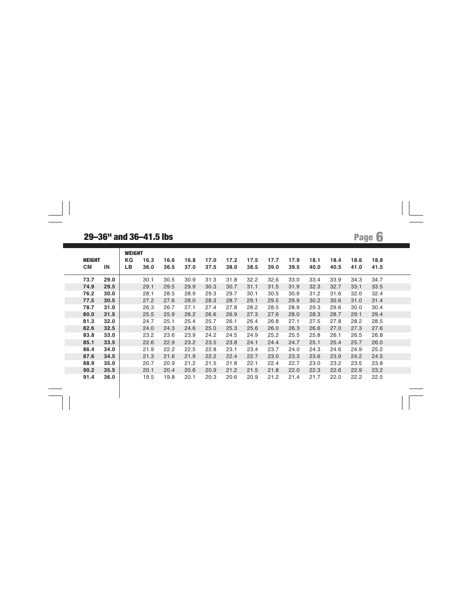**29–36" and 36–41.5 lbs Page Page 6**

<span id="page-10-0"></span> $\mathbf{r}$ 

**The Co** 

|               |      | WEIGHT |      |      |      |      |      |      |      |      |      |      |      |      |  |
|---------------|------|--------|------|------|------|------|------|------|------|------|------|------|------|------|--|
| <b>HEIGHT</b> |      | ΚG     | 16.3 | 16.6 | 16.8 | 17.0 | 17.2 | 17.5 | 17.7 | 17.9 | 18.1 | 18.4 | 18.6 | 18.8 |  |
| СM            | IN   | LВ     | 36.0 | 36.5 | 37.0 | 37.5 | 38.0 | 38.5 | 39.0 | 39.5 | 40.0 | 40.5 | 41.0 | 41.5 |  |
| 73.7          | 29.0 |        | 30.1 | 30.5 | 30.9 | 31.3 | 31.8 | 32.2 | 32.6 | 33.0 | 33.4 | 33.9 | 34.3 | 34.7 |  |
| 74.9          | 29.5 |        | 29.1 | 29.5 | 29.9 | 30.3 | 30.7 | 31.1 | 31.5 | 31.9 | 32.3 | 32.7 | 33.1 | 33.5 |  |
| 76.2          | 30.0 |        | 28.1 | 28.5 | 28.9 | 29.3 | 29.7 | 30.1 | 30.5 | 30.9 | 31.2 | 31.6 | 32.0 | 32.4 |  |
| 77.5          | 30.5 |        | 27.2 | 27.6 | 28.0 | 28.3 | 28.7 | 29.1 | 29.5 | 29.9 | 30.2 | 30.6 | 31.0 | 31.4 |  |
| 78.7          | 31.0 |        | 26.3 | 26.7 | 27.1 | 27.4 | 27.8 | 28.2 | 28.5 | 28.9 | 29.3 | 29.6 | 30.0 | 30.4 |  |
| 80.0          | 31.5 |        | 25.5 | 25.9 | 26.2 | 26.6 | 26.9 | 27.3 | 27.6 | 28.0 | 28.3 | 28.7 | 29.1 | 29.4 |  |
| 81.3          | 32.0 |        | 24.7 | 25.1 | 25.4 | 25.7 | 26.1 | 26.4 | 26.8 | 27.1 | 27.5 | 27.8 | 28.2 | 28.5 |  |
| 82.6          | 32.5 |        | 24.0 | 24.3 | 24.6 | 25.0 | 25.3 | 25.6 | 26.0 | 26.3 | 26.6 | 27.0 | 27.3 | 27.6 |  |
| 83.8          | 33.0 |        | 23.2 | 23.6 | 23.9 | 24.2 | 24.5 | 24.9 | 25.2 | 25.5 | 25.8 | 26.1 | 26.5 | 26.8 |  |
| 85.1          | 33.5 |        | 22.6 | 22.9 | 23.2 | 23.5 | 23.8 | 24.1 | 24.4 | 24.7 | 25.1 | 25.4 | 25.7 | 26.0 |  |
| 86.4          | 34.0 |        | 21.9 | 22.2 | 22.5 | 22.8 | 23.1 | 23.4 | 23.7 | 24.0 | 24.3 | 24.6 | 24.9 | 25.2 |  |
| 87.6          | 34.5 |        | 21.3 | 21.6 | 21.9 | 22.2 | 22.4 | 22.7 | 23.0 | 23.3 | 23.6 | 23.9 | 24.2 | 24.5 |  |
| 88.9          | 35.0 |        | 20.7 | 20.9 | 21.2 | 21.5 | 21.8 | 22.1 | 22.4 | 22.7 | 23.0 | 23.2 | 23.5 | 23.8 |  |
| 90.2          | 35.5 |        | 20.1 | 20.4 | 20.6 | 20.9 | 21.2 | 21.5 | 21.8 | 22.0 | 22.3 | 22.6 | 22.9 | 23.2 |  |
| 91.4          | 36.0 |        | 19.5 | 19.8 | 20.1 | 20.3 | 20.6 | 20.9 | 21.2 | 21.4 | 21.7 | 22.0 | 22.2 | 22.5 |  |
|               |      |        |      |      |      |      |      |      |      |      |      |      |      |      |  |
|               |      |        |      |      |      |      |      |      |      |      |      |      |      |      |  |
|               |      |        |      |      |      |      |      |      |      |      |      |      |      |      |  |
|               |      |        |      |      |      |      |      |      |      |      |      |      |      |      |  |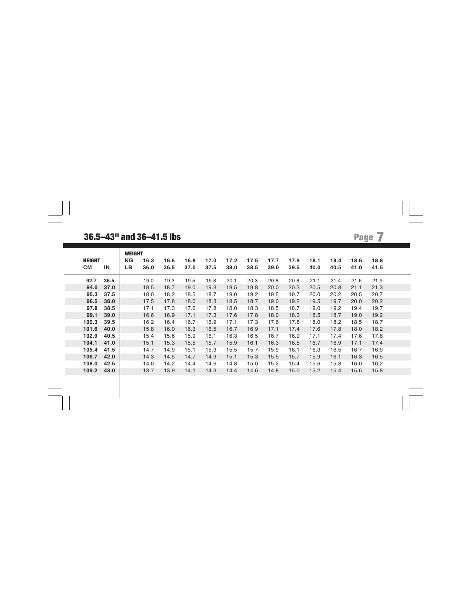$\mathbb{L}$ 

 $\sqrt{1}$ 

# **36.5–43" and 36–41.5 lbs Page Page 7**

<span id="page-11-0"></span> $\mathbf{r}$ 

 $\frac{1}{\sqrt{2}}$ 

|               |      | <b>WEIGHT</b> |      |      |      |      |      |      |      |      |      |      |      |      |
|---------------|------|---------------|------|------|------|------|------|------|------|------|------|------|------|------|
| <b>HEIGHT</b> |      | ΚG            | 16.3 | 16.6 | 16.8 | 17.0 | 17.2 | 17.5 | 17.7 | 17.9 | 18.1 | 18.4 | 18.6 | 18.8 |
| CМ            | IN   | LВ            | 36.0 | 36.5 | 37.0 | 37.5 | 38.0 | 38.5 | 39.0 | 39.5 | 40.0 | 40.5 | 41.0 | 41.5 |
| 92.7          | 36.5 |               | 19.0 | 19.3 | 19.5 | 19.8 | 20.1 | 20.3 | 20.6 | 20.8 | 21.1 | 21.4 | 21.6 | 21.9 |
| 94.0          | 37.0 |               | 18.5 | 18.7 | 19.0 | 19.3 | 19.5 | 19.8 | 20.0 | 20.3 | 20.5 | 20.8 | 21.1 | 21.3 |
| 95.3          | 37.5 |               | 18.0 | 18.2 | 18.5 | 18.7 | 19.0 | 19.2 | 19.5 | 19.7 | 20.0 | 20.2 | 20.5 | 20.7 |
| 96.5          | 38.0 |               | 17.5 | 17.8 | 18.0 | 18.3 | 18.5 | 18.7 | 19.0 | 19.2 | 19.5 | 19.7 | 20.0 | 20.2 |
| 97.8          | 38.5 |               | 17.1 | 17.3 | 17.6 | 17.8 | 18.0 | 18.3 | 18.5 | 18.7 | 19.0 | 19.2 | 19.4 | 19.7 |
| 99.1          | 39.0 |               | 16.6 | 16.9 | 17.1 | 17.3 | 17.6 | 17.8 | 18.0 | 18.3 | 18.5 | 18.7 | 19.0 | 19.2 |
| 100.3         | 39.5 |               | 16.2 | 16.4 | 16.7 | 16.9 | 17.1 | 17.3 | 17.6 | 17.8 | 18.0 | 18.2 | 18.5 | 18.7 |
| 101.6         | 40.0 |               | 15.8 | 16.0 | 16.3 | 16.5 | 16.7 | 16.9 | 17.1 | 17.4 | 17.6 | 17.8 | 18.0 | 18.2 |
| 102.9         | 40.5 |               | 15.4 | 15.6 | 15.9 | 16.1 | 16.3 | 16.5 | 16.7 | 16.9 | 17.1 | 17.4 | 17.6 | 17.8 |
| 104.1         | 41.0 |               | 15.1 | 15.3 | 15.5 | 15.7 | 15.9 | 16.1 | 16.3 | 16.5 | 16.7 | 16.9 | 17.1 | 17.4 |
| 105.4         | 41.5 |               | 14.7 | 14.9 | 15.1 | 15.3 | 15.5 | 15.7 | 15.9 | 16.1 | 16.3 | 16.5 | 16.7 | 16.9 |
| 106.7         | 42.0 |               | 14.3 | 14.5 | 14.7 | 14.9 | 15.1 | 15.3 | 15.5 | 15.7 | 15.9 | 16.1 | 16.3 | 16.5 |
| 108.0         | 42.5 |               | 14.0 | 14.2 | 14.4 | 14.6 | 14.8 | 15.0 | 15.2 | 15.4 | 15.6 | 15.8 | 16.0 | 16.2 |
| 109.2         | 43.0 |               | 13.7 | 13.9 | 14.1 | 14.3 | 14.4 | 14.6 | 14.8 | 15.0 | 15.2 | 15.4 | 15.6 | 15.8 |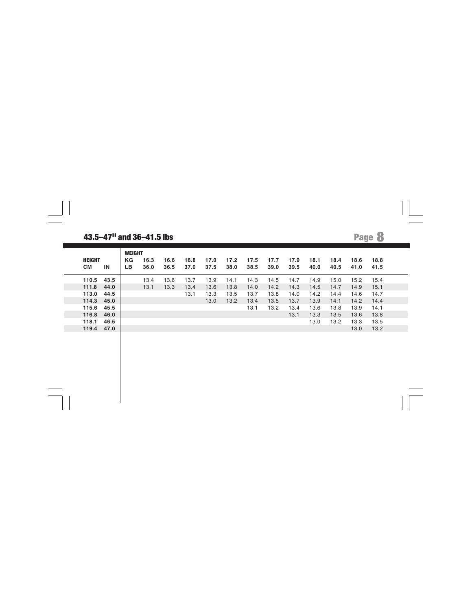$\sqrt{2}$ 

**Page Page 8**

### **43.5–47" and 36–41.5 lbs**

<span id="page-12-0"></span> $\equiv$ 

 $\frac{1}{\sqrt{2}}$ 

|               |      | <b>WEIGHT</b> |      |      |      |      |      |      |      |      |      |      |      |      |
|---------------|------|---------------|------|------|------|------|------|------|------|------|------|------|------|------|
| <b>HEIGHT</b> |      | КG            | 16.3 | 16.6 | 16.8 | 17.0 | 17.2 | 17.5 | 17.7 | 17.9 | 18.1 | 18.4 | 18.6 | 18.8 |
| CМ            | IN   | LB.           | 36.0 | 36.5 | 37.0 | 37.5 | 38.0 | 38.5 | 39.0 | 39.5 | 40.0 | 40.5 | 41.0 | 41.5 |
| 110.5         | 43.5 |               | 13.4 | 13.6 | 13.7 | 13.9 | 14.1 | 14.3 | 14.5 | 14.7 | 14.9 | 15.0 | 15.2 | 15.4 |
| 111.8         | 44.0 |               | 13.1 | 13.3 | 13.4 | 13.6 | 13.8 | 14.0 | 14.2 | 14.3 | 14.5 | 14.7 | 14.9 | 15.1 |
| 113.0         | 44.5 |               |      |      | 13.1 | 13.3 | 13.5 | 13.7 | 13.8 | 14.0 | 14.2 | 14.4 | 14.6 | 14.7 |
| 114.3         | 45.0 |               |      |      |      | 13.0 | 13.2 | 13.4 | 13.5 | 13.7 | 13.9 | 14.1 | 14.2 | 14.4 |
| 115.6         | 45.5 |               |      |      |      |      |      | 13.1 | 13.2 | 13.4 | 13.6 | 13.8 | 13.9 | 14.1 |
| 116.8         | 46.0 |               |      |      |      |      |      |      |      | 13.1 | 13.3 | 13.5 | 13.6 | 13.8 |
| 118.1         | 46.5 |               |      |      |      |      |      |      |      |      | 13.0 | 13.2 | 13.3 | 13.5 |
| 119.4         | 47.0 |               |      |      |      |      |      |      |      |      |      |      | 13.0 | 13.2 |
|               |      |               |      |      |      |      |      |      |      |      |      |      |      |      |
|               |      |               |      |      |      |      |      |      |      |      |      |      |      |      |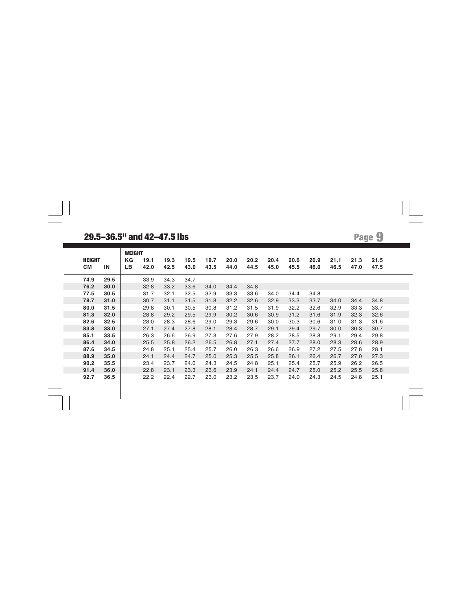**29.5–36.5" and 42–47.5 lbs Page Page 9**

<span id="page-13-0"></span> $\mathbf{\underline{}}$ 

|                     |      | <b>WEIGHT</b> |              |              |              |              |              |              |              |              |              |              |              |              |  |
|---------------------|------|---------------|--------------|--------------|--------------|--------------|--------------|--------------|--------------|--------------|--------------|--------------|--------------|--------------|--|
| <b>HEIGHT</b><br>CМ | IN   | ΚG<br>LВ      | 19.1<br>42.0 | 19.3<br>42.5 | 19.5<br>43.0 | 19.7<br>43.5 | 20.0<br>44.0 | 20.2<br>44.5 | 20.4<br>45.0 | 20.6<br>45.5 | 20.9<br>46.0 | 21.1<br>46.5 | 21.3<br>47.0 | 21.5<br>47.5 |  |
|                     |      |               |              |              |              |              |              |              |              |              |              |              |              |              |  |
| 74.9                | 29.5 |               | 33.9         | 34.3         | 34.7         |              |              |              |              |              |              |              |              |              |  |
| 76.2                | 30.0 |               | 32.8         | 33.2         | 33.6         | 34.0         | 34.4         | 34.8         |              |              |              |              |              |              |  |
| 77.5                | 30.5 |               | 31.7         | 32.1         | 32.5         | 32.9         | 33.3         | 33.6         | 34.0         | 34.4         | 34.8         |              |              |              |  |
| 78.7                | 31.0 |               | 30.7         | 31.1         | 31.5         | 31.8         | 32.2         | 32.6         | 32.9         | 33.3         | 33.7         | 34.0         | 34.4         | 34.8         |  |
| 80.0                | 31.5 |               | 29.8         | 30.1         | 30.5         | 30.8         | 31.2         | 31.5         | 31.9         | 32.2         | 32.6         | 32.9         | 33.3         | 33.7         |  |
| 81.3                | 32.0 |               | 28.8         | 29.2         | 29.5         | 29.9         | 30.2         | 30.6         | 30.9         | 31.2         | 31.6         | 31.9         | 32.3         | 32.6         |  |
| 82.6                | 32.5 |               | 28.0         | 28.3         | 28.6         | 29.0         | 29.3         | 29.6         | 30.0         | 30.3         | 30.6         | 31.0         | 31.3         | 31.6         |  |
| 83.8                | 33.0 |               | 27.1         | 27.4         | 27.8         | 28.1         | 28.4         | 28.7         | 29.1         | 29.4         | 29.7         | 30.0         | 30.3         | 30.7         |  |
| 85.1                | 33.5 |               | 26.3         | 26.6         | 26.9         | 27.3         | 27.6         | 27.9         | 28.2         | 28.5         | 28.8         | 29.1         | 29.4         | 29.8         |  |
| 86.4                | 34.0 |               | 25.5         | 25.8         | 26.2         | 26.5         | 26.8         | 27.1         | 27.4         | 27.7         | 28.0         | 28.3         | 28.6         | 28.9         |  |
| 87.6                | 34.5 |               | 24.8         | 25.1         | 25.4         | 25.7         | 26.0         | 26.3         | 26.6         | 26.9         | 27.2         | 27.5         | 27.8         | 28.1         |  |
| 88.9                | 35.0 |               | 24.1         | 24.4         | 24.7         | 25.0         | 25.3         | 25.5         | 25.8         | 26.1         | 26.4         | 26.7         | 27.0         | 27.3         |  |
| 90.2                | 35.5 |               | 23.4         | 23.7         | 24.0         | 24.3         | 24.5         | 24.8         | 25.1         | 25.4         | 25.7         | 25.9         | 26.2         | 26.5         |  |
| 91.4                | 36.0 |               | 22.8         | 23.1         | 23.3         | 23.6         | 23.9         | 24.1         | 24.4         | 24.7         | 25.0         | 25.2         | 25.5         | 25.8         |  |
| 92.7                | 36.5 |               | 22.2         | 22.4         | 22.7         | 23.0         | 23.2         | 23.5         | 23.7         | 24.0         | 24.3         | 24.5         | 24.8         | 25.1         |  |
|                     |      |               |              |              |              |              |              |              |              |              |              |              |              |              |  |
|                     |      |               |              |              |              |              |              |              |              |              |              |              |              |              |  |
|                     |      |               |              |              |              |              |              |              |              |              |              |              |              |              |  |
|                     |      |               |              |              |              |              |              |              |              |              |              |              |              |              |  |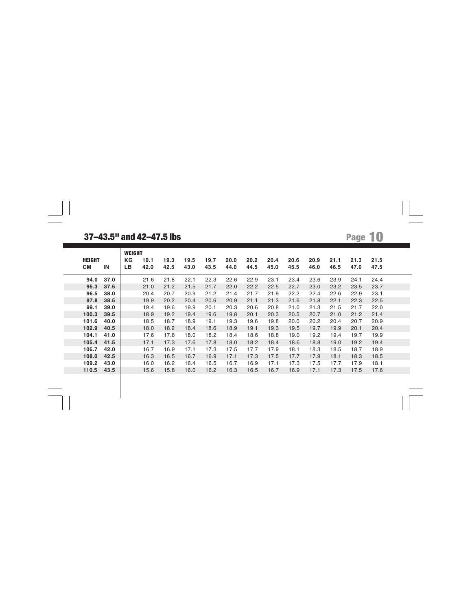**37–43.5" and 42–47.5 lbs Page 10**

<span id="page-14-0"></span> $\mathbf{\underline{}}$ 

 $\frac{1}{2}$  $\frac{1}{\sqrt{2\pi}}$ 

|    |               |      | <b>WEIGHT</b> |      |      |      |      |      |      |      |      |      |      |      |      |  |
|----|---------------|------|---------------|------|------|------|------|------|------|------|------|------|------|------|------|--|
|    | <b>HEIGHT</b> |      | КG            | 19.1 | 19.3 | 19.5 | 19.7 | 20.0 | 20.2 | 20.4 | 20.6 | 20.9 | 21.1 | 21.3 | 21.5 |  |
| CМ |               | IN   | LВ            | 42.0 | 42.5 | 43.0 | 43.5 | 44.0 | 44.5 | 45.0 | 45.5 | 46.0 | 46.5 | 47.0 | 47.5 |  |
|    | 94.0          | 37.0 |               | 21.6 | 21.8 | 22.1 | 22.3 | 22.6 | 22.9 | 23.1 | 23.4 | 23.6 | 23.9 | 24.1 | 24.4 |  |
|    | 95.3          | 37.5 |               | 21.0 | 21.2 | 21.5 | 21.7 | 22.0 | 22.2 | 22.5 | 22.7 | 23.0 | 23.2 | 23.5 | 23.7 |  |
|    | 96.5          | 38.0 |               | 20.4 | 20.7 | 20.9 | 21.2 | 21.4 | 21.7 | 21.9 | 22.2 | 22.4 | 22.6 | 22.9 | 23.1 |  |
|    | 97.8          | 38.5 |               | 19.9 | 20.2 | 20.4 | 20.6 | 20.9 | 21.1 | 21.3 | 21.6 | 21.8 | 22.1 | 22.3 | 22.5 |  |
|    | 99.1          | 39.0 |               | 19.4 | 19.6 | 19.9 | 20.1 | 20.3 | 20.6 | 20.8 | 21.0 | 21.3 | 21.5 | 21.7 | 22.0 |  |
|    | 100.3         | 39.5 |               | 18.9 | 19.2 | 19.4 | 19.6 | 19.8 | 20.1 | 20.3 | 20.5 | 20.7 | 21.0 | 21.2 | 21.4 |  |
|    | 101.6         | 40.0 |               | 18.5 | 18.7 | 18.9 | 19.1 | 19.3 | 19.6 | 19.8 | 20.0 | 20.2 | 20.4 | 20.7 | 20.9 |  |
|    | 102.9         | 40.5 |               | 18.0 | 18.2 | 18.4 | 18.6 | 18.9 | 19.1 | 19.3 | 19.5 | 19.7 | 19.9 | 20.1 | 20.4 |  |
|    | 104.1         | 41.0 |               | 17.6 | 17.8 | 18.0 | 18.2 | 18.4 | 18.6 | 18.8 | 19.0 | 19.2 | 19.4 | 19.7 | 19.9 |  |
|    | 105.4         | 41.5 |               | 17.1 | 17.3 | 17.6 | 17.8 | 18.0 | 18.2 | 18.4 | 18.6 | 18.8 | 19.0 | 19.2 | 19.4 |  |
|    | 106.7         | 42.0 |               | 16.7 | 16.9 | 17.1 | 17.3 | 17.5 | 17.7 | 17.9 | 18.1 | 18.3 | 18.5 | 18.7 | 18.9 |  |
|    | 108.0         | 42.5 |               | 16.3 | 16.5 | 16.7 | 16.9 | 17.1 | 17.3 | 17.5 | 17.7 | 17.9 | 18.1 | 18.3 | 18.5 |  |
|    | 109.2         | 43.0 |               | 16.0 | 16.2 | 16.4 | 16.5 | 16.7 | 16.9 | 17.1 | 17.3 | 17.5 | 17.7 | 17.9 | 18.1 |  |
|    | 110.5         | 43.5 |               | 15.6 | 15.8 | 16.0 | 16.2 | 16.3 | 16.5 | 16.7 | 16.9 | 17.1 | 17.3 | 17.5 | 17.6 |  |
|    |               |      |               |      |      |      |      |      |      |      |      |      |      |      |      |  |

 $\begin{array}{c} \hline \hline \hline \hline \hline \hline \hline \end{array}$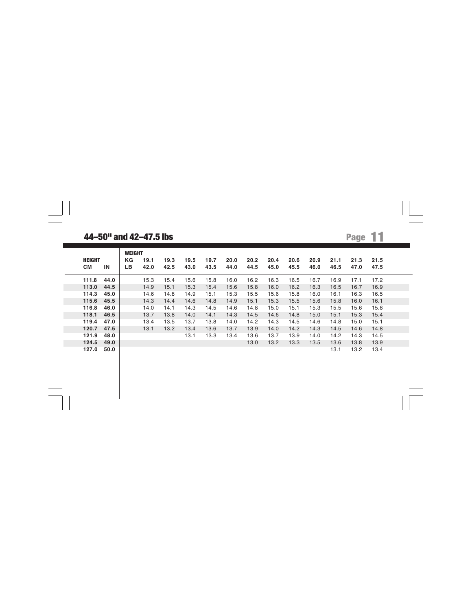<span id="page-15-0"></span>**44–50" and 42–47.5 lbs Page 11**

 $\frac{1}{\sqrt{2}}$ 

 $\mathbf{L}$ 

 $\sqrt{2}$ 

|               |      | <b>WEIGHT</b> |      |      |      |      |      |      |      |      |      |      |      |      |  |
|---------------|------|---------------|------|------|------|------|------|------|------|------|------|------|------|------|--|
| <b>HEIGHT</b> |      | ΚG            | 19.1 | 19.3 | 19.5 | 19.7 | 20.0 | 20.2 | 20.4 | 20.6 | 20.9 | 21.1 | 21.3 | 21.5 |  |
| CМ            | IN   | LВ            | 42.0 | 42.5 | 43.0 | 43.5 | 44.0 | 44.5 | 45.0 | 45.5 | 46.0 | 46.5 | 47.0 | 47.5 |  |
| 111.8         | 44.0 |               | 15.3 | 15.4 | 15.6 | 15.8 | 16.0 | 16.2 | 16.3 | 16.5 | 16.7 | 16.9 | 17.1 | 17.2 |  |
| 113.0         | 44.5 |               | 14.9 | 15.1 | 15.3 | 15.4 | 15.6 | 15.8 | 16.0 | 16.2 | 16.3 | 16.5 | 16.7 | 16.9 |  |
| 114.3         | 45.0 |               | 14.6 | 14.8 | 14.9 | 15.1 | 15.3 | 15.5 | 15.6 | 15.8 | 16.0 | 16.1 | 16.3 | 16.5 |  |
| 115.6         | 45.5 |               | 14.3 | 14.4 | 14.6 | 14.8 | 14.9 | 15.1 | 15.3 | 15.5 | 15.6 | 15.8 | 16.0 | 16.1 |  |
| 116.8         | 46.0 |               | 14.0 | 14.1 | 14.3 | 14.5 | 14.6 | 14.8 | 15.0 | 15.1 | 15.3 | 15.5 | 15.6 | 15.8 |  |
| 118.1         | 46.5 |               | 13.7 | 13.8 | 14.0 | 14.1 | 14.3 | 14.5 | 14.6 | 14.8 | 15.0 | 15.1 | 15.3 | 15.4 |  |
| 119.4         | 47.0 |               | 13.4 | 13.5 | 13.7 | 13.8 | 14.0 | 14.2 | 14.3 | 14.5 | 14.6 | 14.8 | 15.0 | 15.1 |  |
| 120.7         | 47.5 |               | 13.1 | 13.2 | 13.4 | 13.6 | 13.7 | 13.9 | 14.0 | 14.2 | 14.3 | 14.5 | 14.6 | 14.8 |  |
| 121.9         | 48.0 |               |      |      | 13.1 | 13.3 | 13.4 | 13.6 | 13.7 | 13.9 | 14.0 | 14.2 | 14.3 | 14.5 |  |
| 124.5         | 49.0 |               |      |      |      |      |      | 13.0 | 13.2 | 13.3 | 13.5 | 13.6 | 13.8 | 13.9 |  |
| 127.0         | 50.0 |               |      |      |      |      |      |      |      |      |      | 13.1 | 13.2 | 13.4 |  |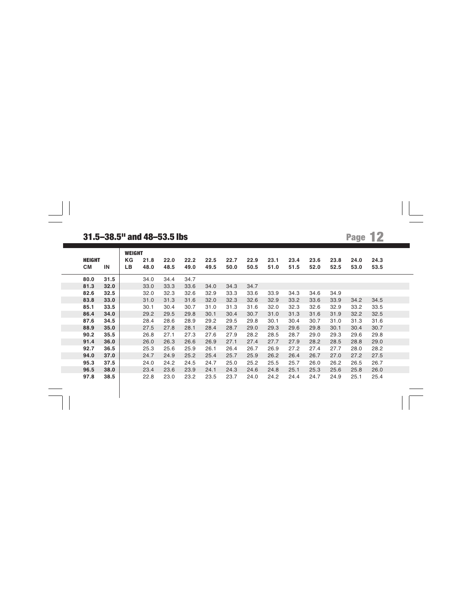**31.5–38.5" and 48–53.5 lbs Page 12**

<span id="page-16-0"></span> $\mathbf{\underline{}}^+$ 

| <b>HEIGHT</b><br>CМ | IN   | <b>WEIGHT</b><br>ΚG<br>LВ | 21.8<br>48.0 | 22.0<br>48.5 | 22.2<br>49.0 | 22.5<br>49.5 | 22.7<br>50.0 | 22.9<br>50.5 | 23.1<br>51.0 | 23.4<br>51.5 | 23.6<br>52.0 | 23.8<br>52.5 | 24.0<br>53.0 | 24.3<br>53.5 |  |
|---------------------|------|---------------------------|--------------|--------------|--------------|--------------|--------------|--------------|--------------|--------------|--------------|--------------|--------------|--------------|--|
| 80.0                | 31.5 |                           | 34.0         | 34.4         | 34.7         |              |              |              |              |              |              |              |              |              |  |
| 81.3                | 32.0 |                           | 33.0         | 33.3         | 33.6         | 34.0         | 34.3         | 34.7         |              |              |              |              |              |              |  |
| 82.6                | 32.5 |                           | 32.0         | 32.3         | 32.6         | 32.9         | 33.3         | 33.6         | 33.9         | 34.3         | 34.6         | 34.9         |              |              |  |
| 83.8                | 33.0 |                           | 31.0         | 31.3         | 31.6         | 32.0         | 32.3         | 32.6         | 32.9         | 33.2         | 33.6         | 33.9         | 34.2         | 34.5         |  |
| 85.1                | 33.5 |                           | 30.1         | 30.4         | 30.7         | 31.0         | 31.3         | 31.6         | 32.0         | 32.3         | 32.6         | 32.9         | 33.2         | 33.5         |  |
| 86.4                | 34.0 |                           | 29.2         | 29.5         | 29.8         | 30.1         | 30.4         | 30.7         | 31.0         | 31.3         | 31.6         | 31.9         | 32.2         | 32.5         |  |
| 87.6                | 34.5 |                           | 28.4         | 28.6         | 28.9         | 29.2         | 29.5         | 29.8         | 30.1         | 30.4         | 30.7         | 31.0         | 31.3         | 31.6         |  |
| 88.9                | 35.0 |                           | 27.5         | 27.8         | 28.1         | 28.4         | 28.7         | 29.0         | 29.3         | 29.6         | 29.8         | 30.1         | 30.4         | 30.7         |  |
| 90.2                | 35.5 |                           | 26.8         | 27.1         | 27.3         | 27.6         | 27.9         | 28.2         | 28.5         | 28.7         | 29.0         | 29.3         | 29.6         | 29.8         |  |
| 91.4                | 36.0 |                           | 26.0         | 26.3         | 26.6         | 26.9         | 27.1         | 27.4         | 27.7         | 27.9         | 28.2         | 28.5         | 28.8         | 29.0         |  |
| 92.7                | 36.5 |                           | 25.3         | 25.6         | 25.9         | 26.1         | 26.4         | 26.7         | 26.9         | 27.2         | 27.4         | 27.7         | 28.0         | 28.2         |  |
| 94.0                | 37.0 |                           | 24.7         | 24.9         | 25.2         | 25.4         | 25.7         | 25.9         | 26.2         | 26.4         | 26.7         | 27.0         | 27.2         | 27.5         |  |
| 95.3                | 37.5 |                           | 24.0         | 24.2         | 24.5         | 24.7         | 25.0         | 25.2         | 25.5         | 25.7         | 26.0         | 26.2         | 26.5         | 26.7         |  |
| 96.5                | 38.0 |                           | 23.4         | 23.6         | 23.9         | 24.1         | 24.3         | 24.6         | 24.8         | 25.1         | 25.3         | 25.6         | 25.8         | 26.0         |  |
| 97.8                | 38.5 |                           | 22.8         | 23.0         | 23.2         | 23.5         | 23.7         | 24.0         | 24.2         | 24.4         | 24.7         | 24.9         | 25.1         | 25.4         |  |
|                     |      |                           |              |              |              |              |              |              |              |              |              |              |              |              |  |
|                     |      |                           |              |              |              |              |              |              |              |              |              |              |              |              |  |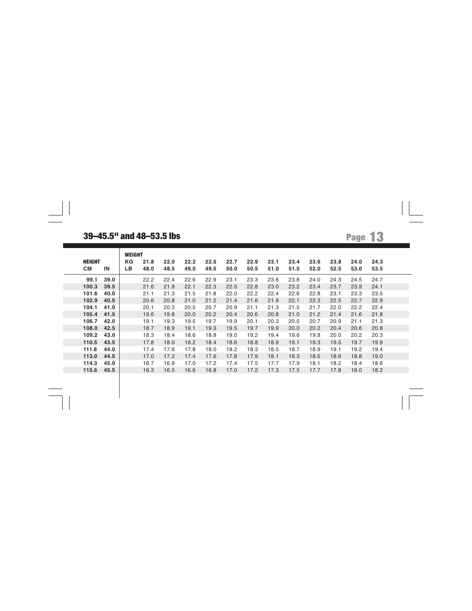**39–45.5" and 48–53.5 lbs Page 13**

<span id="page-17-0"></span> $\begin{array}{c|c} \hline \hline \hline \end{array}$ 

|                     |      | <b>WEIGHT</b> |              |              |              |              |              |              |              |              |              |              |              |              |
|---------------------|------|---------------|--------------|--------------|--------------|--------------|--------------|--------------|--------------|--------------|--------------|--------------|--------------|--------------|
| <b>HEIGHT</b><br>CМ | IN   | ΚG<br>LВ      | 21.8<br>48.0 | 22.0<br>48.5 | 22.2<br>49.0 | 22.5<br>49.5 | 22.7<br>50.0 | 22.9<br>50.5 | 23.1<br>51.0 | 23.4<br>51.5 | 23.6<br>52.0 | 23.8<br>52.5 | 24.0<br>53.0 | 24.3<br>53.5 |
| 99.1                | 39.0 |               | 22.2         | 22.4         | 22.6         | 22.9         | 23.1         | 23.3         | 23.6         | 23.8         | 24.0         | 24.3         | 24.5         | 24.7         |
| 100.3               | 39.5 |               | 21.6         | 21.9         | 22.1         | 22.3         | 22.5         | 22.8         | 23.0         | 23.2         | 23.4         | 23.7         | 23.9         | 24.1         |
| 101.6               | 40.0 |               | 21.1         | 21.3         | 21.5         | 21.8         | 22.0         | 22.2         | 22.4         | 22.6         | 22.8         | 23.1         | 23.3         | 23.5         |
| 102.9               | 40.5 |               | 20.6         | 20.8         | 21.0         | 21.2         | 21.4         | 21.6         | 21.9         | 22.1         | 22.3         | 22.5         | 22.7         | 22.9         |
| 104.1               | 41.0 |               | 20.1         | 20.3         | 20.5         | 20.7         | 20.9         | 21.1         | 21.3         | 21.5         | 21.7         | 22.0         | 22.2         | 22.4         |
| 105.4               | 41.5 |               | 19.6         | 19.8         | 20.0         | 20.2         | 20.4         | 20.6         | 20.8         | 21.0         | 21.2         | 21.4         | 21.6         | 21.8         |
| 106.7               | 42.0 |               | 19.1         | 19.3         | 19.5         | 19.7         | 19.9         | 20.1         | 20.3         | 20.5         | 20.7         | 20.9         | 21.1         | 21.3         |
| 108.0               | 42.5 |               | 18.7         | 18.9         | 19.1         | 19.3         | 19.5         | 19.7         | 19.9         | 20.0         | 20.2         | 20.4         | 20.6         | 20.8         |
| 109.2               | 43.0 |               | 18.3         | 18.4         | 18.6         | 18.8         | 19.0         | 19.2         | 19.4         | 19.6         | 19.8         | 20.0         | 20.2         | 20.3         |
| 110.5               | 43.5 |               | 17.8         | 18.0         | 18.2         | 18.4         | 18.6         | 18.8         | 18.9         | 19.1         | 19.3         | 19.5         | 19.7         | 19.9         |
| 111.8               | 44.0 |               | 17.4         | 17.6         | 17.8         | 18.0         | 18.2         | 18.3         | 18.5         | 18.7         | 18.9         | 19.1         | 19.2         | 19.4         |
| 113.0               | 44.5 |               | 17.0         | 17.2         | 17.4         | 17.6         | 17.8         | 17.9         | 18.1         | 18.3         | 18.5         | 18.6         | 18.8         | 19.0         |
| 114.3               | 45.0 |               | 16.7         | 16.8         | 17.0         | 17.2         | 17.4         | 17.5         | 17.7         | 17.9         | 18.1         | 18.2         | 18.4         | 18.6         |
| 115.6               | 45.5 |               | 16.3         | 16.5         | 16.6         | 16.8         | 17.0         | 17.2         | 17.3         | 17.5         | 17.7         | 17.8         | 18.0         | 18.2         |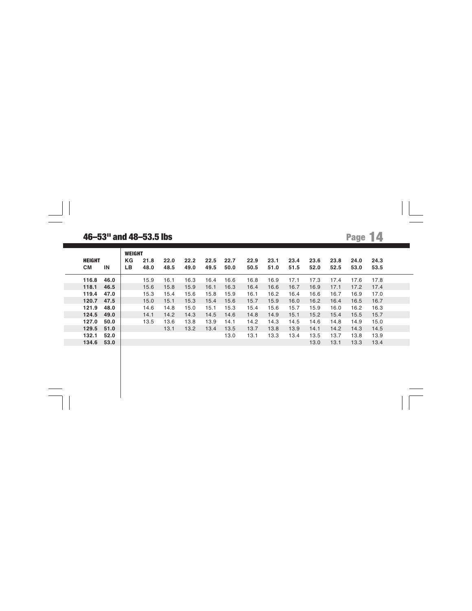<span id="page-18-0"></span>**46–53" and 48–53.5 lbs Page 14**

 $\frac{1}{\sqrt{2}}$ 

 $\sqrt{1}$ 

|               |      | <b>WEIGHT</b> |      |      |      |      |      |      |      |      |      |      |      |      |  |
|---------------|------|---------------|------|------|------|------|------|------|------|------|------|------|------|------|--|
| <b>HEIGHT</b> |      | ΚG            | 21.8 | 22.0 | 22.2 | 22.5 | 22.7 | 22.9 | 23.1 | 23.4 | 23.6 | 23.8 | 24.0 | 24.3 |  |
| CМ            | IN   | LВ            | 48.0 | 48.5 | 49.0 | 49.5 | 50.0 | 50.5 | 51.0 | 51.5 | 52.0 | 52.5 | 53.0 | 53.5 |  |
| 116.8         | 46.0 |               | 15.9 | 16.1 | 16.3 | 16.4 | 16.6 | 16.8 | 16.9 | 17.1 | 17.3 | 17.4 | 17.6 | 17.8 |  |
| 118.1         | 46.5 |               | 15.6 | 15.8 | 15.9 | 16.1 | 16.3 | 16.4 | 16.6 | 16.7 | 16.9 | 17.1 | 17.2 | 17.4 |  |
| 119.4         | 47.0 |               | 15.3 | 15.4 | 15.6 | 15.8 | 15.9 | 16.1 | 16.2 | 16.4 | 16.6 | 16.7 | 16.9 | 17.0 |  |
| 120.7         | 47.5 |               | 15.0 | 15.1 | 15.3 | 15.4 | 15.6 | 15.7 | 15.9 | 16.0 | 16.2 | 16.4 | 16.5 | 16.7 |  |
| 121.9         | 48.0 |               | 14.6 | 14.8 | 15.0 | 15.1 | 15.3 | 15.4 | 15.6 | 15.7 | 15.9 | 16.0 | 16.2 | 16.3 |  |
| 124.5         | 49.0 |               | 14.1 | 14.2 | 14.3 | 14.5 | 14.6 | 14.8 | 14.9 | 15.1 | 15.2 | 15.4 | 15.5 | 15.7 |  |
| 127.0         | 50.0 |               | 13.5 | 13.6 | 13.8 | 13.9 | 14.1 | 14.2 | 14.3 | 14.5 | 14.6 | 14.8 | 14.9 | 15.0 |  |
| 129.5         | 51.0 |               |      | 13.1 | 13.2 | 13.4 | 13.5 | 13.7 | 13.8 | 13.9 | 14.1 | 14.2 | 14.3 | 14.5 |  |
| 132.1         | 52.0 |               |      |      |      |      | 13.0 | 13.1 | 13.3 | 13.4 | 13.5 | 13.7 | 13.8 | 13.9 |  |
| 134.6         | 53.0 |               |      |      |      |      |      |      |      |      | 13.0 | 13.1 | 13.3 | 13.4 |  |
|               |      |               |      |      |      |      |      |      |      |      |      |      |      |      |  |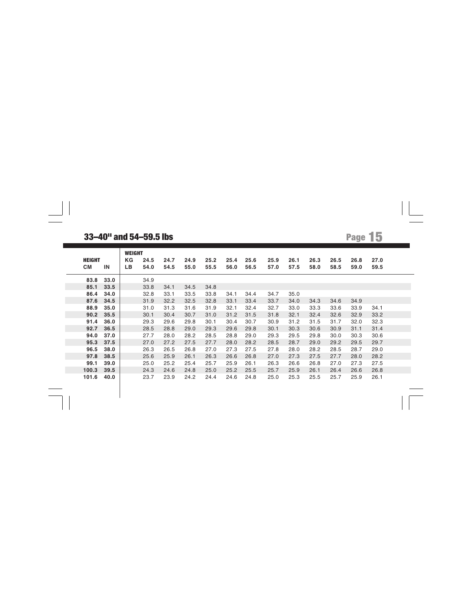**33–40" and 54–59.5 lbs Page 15**

<span id="page-19-0"></span> $\mathbf{r}$ 

|                     |      | <b>WEIGHT</b> |              |              |              |              |              |              |              |              |              |              |              |              |  |
|---------------------|------|---------------|--------------|--------------|--------------|--------------|--------------|--------------|--------------|--------------|--------------|--------------|--------------|--------------|--|
| <b>HEIGHT</b><br>CМ | IN   | ΚG<br>LВ      | 24.5<br>54.0 | 24.7<br>54.5 | 24.9<br>55.0 | 25.2<br>55.5 | 25.4<br>56.0 | 25.6<br>56.5 | 25.9<br>57.0 | 26.1<br>57.5 | 26.3<br>58.0 | 26.5<br>58.5 | 26.8<br>59.0 | 27.0<br>59.5 |  |
| 83.8                | 33.0 |               | 34.9         |              |              |              |              |              |              |              |              |              |              |              |  |
| 85.1                | 33.5 |               | 33.8         | 34.1         | 34.5         | 34.8         |              |              |              |              |              |              |              |              |  |
| 86.4                | 34.0 |               | 32.8         | 33.1         | 33.5         | 33.8         | 34.1         | 34.4         | 34.7         | 35.0         |              |              |              |              |  |
| 87.6                | 34.5 |               | 31.9         | 32.2         | 32.5         | 32.8         | 33.1         | 33.4         | 33.7         | 34.0         | 34.3         | 34.6         | 34.9         |              |  |
| 88.9                | 35.0 |               | 31.0         | 31.3         | 31.6         | 31.9         | 32.1         | 32.4         | 32.7         | 33.0         | 33.3         | 33.6         | 33.9         | 34.1         |  |
| 90.2                | 35.5 |               | 30.1         | 30.4         | 30.7         | 31.0         | 31.2         | 31.5         | 31.8         | 32.1         | 32.4         | 32.6         | 32.9         | 33.2         |  |
| 91.4                | 36.0 |               | 29.3         | 29.6         | 29.8         | 30.1         | 30.4         | 30.7         | 30.9         | 31.2         | 31.5         | 31.7         | 32.0         | 32.3         |  |
| 92.7                | 36.5 |               | 28.5         | 28.8         | 29.0         | 29.3         | 29.6         | 29.8         | 30.1         | 30.3         | 30.6         | 30.9         | 31.1         | 31.4         |  |
| 94.0                | 37.0 |               | 27.7         | 28.0         | 28.2         | 28.5         | 28.8         | 29.0         | 29.3         | 29.5         | 29.8         | 30.0         | 30.3         | 30.6         |  |
| 95.3                | 37.5 |               | 27.0         | 27.2         | 27.5         | 27.7         | 28.0         | 28.2         | 28.5         | 28.7         | 29.0         | 29.2         | 29.5         | 29.7         |  |
| 96.5                | 38.0 |               | 26.3         | 26.5         | 26.8         | 27.0         | 27.3         | 27.5         | 27.8         | 28.0         | 28.2         | 28.5         | 28.7         | 29.0         |  |
| 97.8                | 38.5 |               | 25.6         | 25.9         | 26.1         | 26.3         | 26.6         | 26.8         | 27.0         | 27.3         | 27.5         | 27.7         | 28.0         | 28.2         |  |
| 99.1                | 39.0 |               | 25.0         | 25.2         | 25.4         | 25.7         | 25.9         | 26.1         | 26.3         | 26.6         | 26.8         | 27.0         | 27.3         | 27.5         |  |
| 100.3               | 39.5 |               | 24.3         | 24.6         | 24.8         | 25.0         | 25.2         | 25.5         | 25.7         | 25.9         | 26.1         | 26.4         | 26.6         | 26.8         |  |
| 101.6               | 40.0 |               | 23.7         | 23.9         | 24.2         | 24.4         | 24.6         | 24.8         | 25.0         | 25.3         | 25.5         | 25.7         | 25.9         | 26.1         |  |
|                     |      |               |              |              |              |              |              |              |              |              |              |              |              |              |  |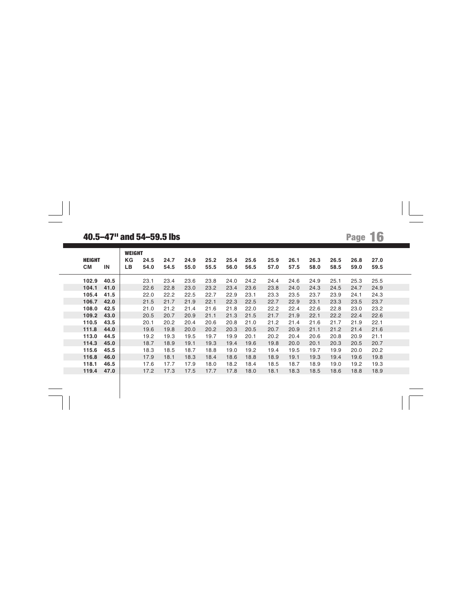**40.5–47" and 54–59.5 lbs Page 16**

<span id="page-20-0"></span> $\mathbf{r}$ 

 $\frac{1}{\sqrt{2}}$ 

|               |      | <b>WEIGHT</b> |      |      |      |      |      |      |      |      |      |      |      |      |
|---------------|------|---------------|------|------|------|------|------|------|------|------|------|------|------|------|
| <b>HEIGHT</b> |      | ΚG            | 24.5 | 24.7 | 24.9 | 25.2 | 25.4 | 25.6 | 25.9 | 26.1 | 26.3 | 26.5 | 26.8 | 27.0 |
| CМ            | IN   | LВ            | 54.0 | 54.5 | 55.0 | 55.5 | 56.0 | 56.5 | 57.0 | 57.5 | 58.0 | 58.5 | 59.0 | 59.5 |
| 102.9         | 40.5 |               | 23.1 | 23.4 | 23.6 | 23.8 | 24.0 | 24.2 | 24.4 | 24.6 | 24.9 | 25.1 | 25.3 | 25.5 |
| 104.1         | 41.0 |               | 22.6 | 22.8 | 23.0 | 23.2 | 23.4 | 23.6 | 23.8 | 24.0 | 24.3 | 24.5 | 24.7 | 24.9 |
| 105.4         | 41.5 |               | 22.0 | 22.2 | 22.5 | 22.7 | 22.9 | 23.1 | 23.3 | 23.5 | 23.7 | 23.9 | 24.1 | 24.3 |
| 106.7         | 42.0 |               | 21.5 | 21.7 | 21.9 | 22.1 | 22.3 | 22.5 | 22.7 | 22.9 | 23.1 | 23.3 | 23.5 | 23.7 |
| 108.0         | 42.5 |               | 21.0 | 21.2 | 21.4 | 21.6 | 21.8 | 22.0 | 22.2 | 22.4 | 22.6 | 22.8 | 23.0 | 23.2 |
| 109.2         | 43.0 |               | 20.5 | 20.7 | 20.9 | 21.1 | 21.3 | 21.5 | 21.7 | 21.9 | 22.1 | 22.2 | 22.4 | 22.6 |
| 110.5         | 43.5 |               | 20.1 | 20.2 | 20.4 | 20.6 | 20.8 | 21.0 | 21.2 | 21.4 | 21.6 | 21.7 | 21.9 | 22.1 |
| 111.8         | 44.0 |               | 19.6 | 19.8 | 20.0 | 20.2 | 20.3 | 20.5 | 20.7 | 20.9 | 21.1 | 21.2 | 21.4 | 21.6 |
| 113.0         | 44.5 |               | 19.2 | 19.3 | 19.5 | 19.7 | 19.9 | 20.1 | 20.2 | 20.4 | 20.6 | 20.8 | 20.9 | 21.1 |
| 114.3         | 45.0 |               | 18.7 | 18.9 | 19.1 | 19.3 | 19.4 | 19.6 | 19.8 | 20.0 | 20.1 | 20.3 | 20.5 | 20.7 |
| 115.6         | 45.5 |               | 18.3 | 18.5 | 18.7 | 18.8 | 19.0 | 19.2 | 19.4 | 19.5 | 19.7 | 19.9 | 20.0 | 20.2 |
| 116.8         | 46.0 |               | 17.9 | 18.1 | 18.3 | 18.4 | 18.6 | 18.8 | 18.9 | 19.1 | 19.3 | 19.4 | 19.6 | 19.8 |
| 118.1         | 46.5 |               | 17.6 | 17.7 | 17.9 | 18.0 | 18.2 | 18.4 | 18.5 | 18.7 | 18.9 | 19.0 | 19.2 | 19.3 |
| 119.4         | 47.0 |               | 17.2 | 17.3 | 17.5 | 17.7 | 17.8 | 18.0 | 18.1 | 18.3 | 18.5 | 18.6 | 18.8 | 18.9 |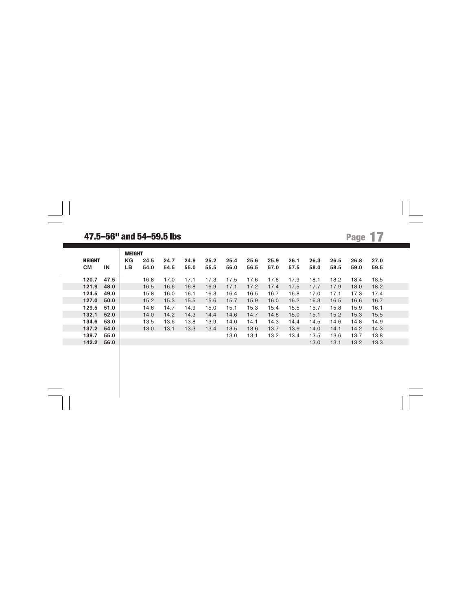<span id="page-21-0"></span>**47.5–56" and 54–59.5 lbs Page 17**

 $\frac{1}{\sqrt{2}}$ 

| $\mathcal{L}(\mathcal{A})$ | ۰. |  |
|----------------------------|----|--|

 $\frac{1}{\sqrt{1-\frac{1}{2}}}$ 

|               |            | <b>WEIGHT</b> |      |      |      |      |      |      |      |      |      |      |      |      |
|---------------|------------|---------------|------|------|------|------|------|------|------|------|------|------|------|------|
| <b>HEIGHT</b> |            | ΚG            | 24.5 | 24.7 | 24.9 | 25.2 | 25.4 | 25.6 | 25.9 | 26.1 | 26.3 | 26.5 | 26.8 | 27.0 |
| CМ            | IN         | LВ            | 54.0 | 54.5 | 55.0 | 55.5 | 56.0 | 56.5 | 57.0 | 57.5 | 58.0 | 58.5 | 59.0 | 59.5 |
| 120.7         | 47.5       |               | 16.8 | 17.0 | 17.1 | 17.3 | 17.5 | 17.6 | 17.8 | 17.9 | 18.1 | 18.2 | 18.4 | 18.5 |
| 121.9         | 48.0       |               | 16.5 | 16.6 | 16.8 | 16.9 | 17.1 | 17.2 | 17.4 | 17.5 | 17.7 | 17.9 | 18.0 | 18.2 |
| 124.5         | 49.0       |               | 15.8 | 16.0 | 16.1 | 16.3 | 16.4 | 16.5 | 16.7 | 16.8 | 17.0 | 17.1 | 17.3 | 17.4 |
| 127.0         | 50.0       |               | 15.2 | 15.3 | 15.5 | 15.6 | 15.7 | 15.9 | 16.0 | 16.2 | 16.3 | 16.5 | 16.6 | 16.7 |
| 129.5         | 51.0       |               | 14.6 | 14.7 | 14.9 | 15.0 | 15.1 | 15.3 | 15.4 | 15.5 | 15.7 | 15.8 | 15.9 | 16.1 |
| 132.1         | 52.0       |               | 14.0 | 14.2 | 14.3 | 14.4 | 14.6 | 14.7 | 14.8 | 15.0 | 15.1 | 15.2 | 15.3 | 15.5 |
| 134.6         | 53.0       |               | 13.5 | 13.6 | 13.8 | 13.9 | 14.0 | 14.1 | 14.3 | 14.4 | 14.5 | 14.6 | 14.8 | 14.9 |
| 137.2         | 54.0       |               | 13.0 | 13.1 | 13.3 | 13.4 | 13.5 | 13.6 | 13.7 | 13.9 | 14.0 | 14.1 | 14.2 | 14.3 |
| 139.7         | 55.0       |               |      |      |      |      | 13.0 | 13.1 | 13.2 | 13.4 | 13.5 | 13.6 | 13.7 | 13.8 |
|               | 142.2 56.0 |               |      |      |      |      |      |      |      |      | 13.0 | 13.1 | 13.2 | 13.3 |
|               |            |               |      |      |      |      |      |      |      |      |      |      |      |      |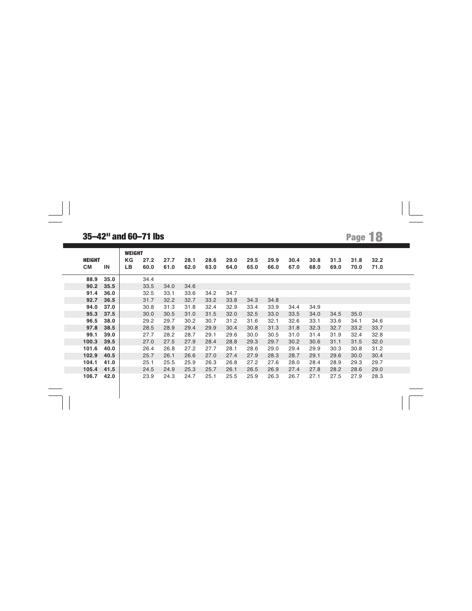**35–42" and 60–71 lbs Page 18**

<span id="page-22-0"></span> $\mathbf{r}$ 

|               |      | <b>WEIGHT</b> |      |      |      |      |      |      |      |      |      |      |      |      |  |
|---------------|------|---------------|------|------|------|------|------|------|------|------|------|------|------|------|--|
| <b>HEIGHT</b> |      | ΚG            | 27.2 | 27.7 | 28.1 | 28.6 | 29.0 | 29.5 | 29.9 | 30.4 | 30.8 | 31.3 | 31.8 | 32.2 |  |
| CМ            | IN   | LВ            | 60.0 | 61.0 | 62.0 | 63.0 | 64.0 | 65.0 | 66.0 | 67.0 | 68.0 | 69.0 | 70.0 | 71.0 |  |
| 88.9          | 35.0 |               | 34.4 |      |      |      |      |      |      |      |      |      |      |      |  |
| 90.2          | 35.5 |               | 33.5 | 34.0 | 34.6 |      |      |      |      |      |      |      |      |      |  |
| 91.4          | 36.0 |               | 32.5 | 33.1 | 33.6 | 34.2 | 34.7 |      |      |      |      |      |      |      |  |
| 92.7          | 36.5 |               | 31.7 | 32.2 | 32.7 | 33.2 | 33.8 | 34.3 | 34.8 |      |      |      |      |      |  |
| 94.0          | 37.0 |               | 30.8 | 31.3 | 31.8 | 32.4 | 32.9 | 33.4 | 33.9 | 34.4 | 34.9 |      |      |      |  |
| 95.3          | 37.5 |               | 30.0 | 30.5 | 31.0 | 31.5 | 32.0 | 32.5 | 33.0 | 33.5 | 34.0 | 34.5 | 35.0 |      |  |
| 96.5          | 38.0 |               | 29.2 | 29.7 | 30.2 | 30.7 | 31.2 | 31.6 | 32.1 | 32.6 | 33.1 | 33.6 | 34.1 | 34.6 |  |
| 97.8          | 38.5 |               | 28.5 | 28.9 | 29.4 | 29.9 | 30.4 | 30.8 | 31.3 | 31.8 | 32.3 | 32.7 | 33.2 | 33.7 |  |
| 99.1          | 39.0 |               | 27.7 | 28.2 | 28.7 | 29.1 | 29.6 | 30.0 | 30.5 | 31.0 | 31.4 | 31.9 | 32.4 | 32.8 |  |
| 100.3         | 39.5 |               | 27.0 | 27.5 | 27.9 | 28.4 | 28.8 | 29.3 | 29.7 | 30.2 | 30.6 | 31.1 | 31.5 | 32.0 |  |
| 101.6         | 40.0 |               | 26.4 | 26.8 | 27.2 | 27.7 | 28.1 | 28.6 | 29.0 | 29.4 | 29.9 | 30.3 | 30.8 | 31.2 |  |
| 102.9         | 40.5 |               | 25.7 | 26.1 | 26.6 | 27.0 | 27.4 | 27.9 | 28.3 | 28.7 | 29.1 | 29.6 | 30.0 | 30.4 |  |
| 104.1         | 41.0 |               | 25.1 | 25.5 | 25.9 | 26.3 | 26.8 | 27.2 | 27.6 | 28.0 | 28.4 | 28.9 | 29.3 | 29.7 |  |
| 105.4         | 41.5 |               | 24.5 | 24.9 | 25.3 | 25.7 | 26.1 | 26.5 | 26.9 | 27.4 | 27.8 | 28.2 | 28.6 | 29.0 |  |
| 106.7         | 42.0 |               | 23.9 | 24.3 | 24.7 | 25.1 | 25.5 | 25.9 | 26.3 | 26.7 | 27.1 | 27.5 | 27.9 | 28.3 |  |
|               |      |               |      |      |      |      |      |      |      |      |      |      |      |      |  |
|               |      |               |      |      |      |      |      |      |      |      |      |      |      |      |  |
|               |      |               |      |      |      |      |      |      |      |      |      |      |      |      |  |
|               |      |               |      |      |      |      |      |      |      |      |      |      |      |      |  |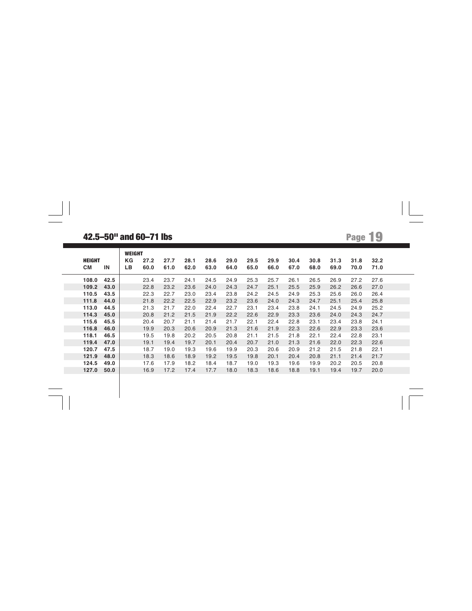**42.5–50" and 60–71 lbs Page 19**

<span id="page-23-0"></span> $\mathbf{\underline{}}$ 

 $\overline{\overline{\mathbb{u}}}$ 

| <b>HEIGHT</b><br>CМ | IN   | <b>WEIGHT</b><br>ΚG<br>LВ | 27.2<br>60.0 | 27.7<br>61.0 | 28.1<br>62.0 | 28.6<br>63.0 | 29.0<br>64.0 | 29.5<br>65.0 | 29.9<br>66.0 | 30.4<br>67.0 | 30.8<br>68.0 | 31.3<br>69.0 | 31.8<br>70.0 | 32.2<br>71.0 |  |
|---------------------|------|---------------------------|--------------|--------------|--------------|--------------|--------------|--------------|--------------|--------------|--------------|--------------|--------------|--------------|--|
| 108.0               | 42.5 |                           | 23.4         | 23.7         | 24.1         | 24.5         | 24.9         | 25.3         | 25.7         | 26.1         | 26.5         | 26.9         | 27.2         | 27.6         |  |
| 109.2               | 43.0 |                           | 22.8         | 23.2         | 23.6         | 24.0         | 24.3         | 24.7         | 25.1         | 25.5         | 25.9         | 26.2         | 26.6         | 27.0         |  |
| 110.5               | 43.5 |                           | 22.3         | 22.7         | 23.0         | 23.4         | 23.8         | 24.2         | 24.5         | 24.9         | 25.3         | 25.6         | 26.0         | 26.4         |  |
| 111.8               | 44.0 |                           | 21.8         | 22.2         | 22.5         | 22.9         | 23.2         | 23.6         | 24.0         | 24.3         | 24.7         | 25.1         | 25.4         | 25.8         |  |
| 113.0               | 44.5 |                           | 21.3         | 21.7         | 22.0         | 22.4         | 22.7         | 23.1         | 23.4         | 23.8         | 24.1         | 24.5         | 24.9         | 25.2         |  |
| 114.3               | 45.0 |                           | 20.8         | 21.2         | 21.5         | 21.9         | 22.2         | 22.6         | 22.9         | 23.3         | 23.6         | 24.0         | 24.3         | 24.7         |  |
| 115.6               | 45.5 |                           | 20.4         | 20.7         | 21.1         | 21.4         | 21.7         | 22.1         | 22.4         | 22.8         | 23.1         | 23.4         | 23.8         | 24.1         |  |
| 116.8               | 46.0 |                           | 19.9         | 20.3         | 20.6         | 20.9         | 21.3         | 21.6         | 21.9         | 22.3         | 22.6         | 22.9         | 23.3         | 23.6         |  |
| 118.1               | 46.5 |                           | 19.5         | 19.8         | 20.2         | 20.5         | 20.8         | 21.1         | 21.5         | 21.8         | 22.1         | 22.4         | 22.8         | 23.1         |  |
| 119.4               | 47.0 |                           | 19.1         | 19.4         | 19.7         | 20.1         | 20.4         | 20.7         | 21.0         | 21.3         | 21.6         | 22.0         | 22.3         | 22.6         |  |
| 120.7               | 47.5 |                           | 18.7         | 19.0         | 19.3         | 19.6         | 19.9         | 20.3         | 20.6         | 20.9         | 21.2         | 21.5         | 21.8         | 22.1         |  |
| 121.9               | 48.0 |                           | 18.3         | 18.6         | 18.9         | 19.2         | 19.5         | 19.8         | 20.1         | 20.4         | 20.8         | 21.1         | 21.4         | 21.7         |  |
| 124.5               | 49.0 |                           | 17.6         | 17.9         | 18.2         | 18.4         | 18.7         | 19.0         | 19.3         | 19.6         | 19.9         | 20.2         | 20.5         | 20.8         |  |
| 127.0               | 50.0 |                           | 16.9         | 17.2         | 17.4         | 17.7         | 18.0         | 18.3         | 18.6         | 18.8         | 19.1         | 19.4         | 19.7         | 20.0         |  |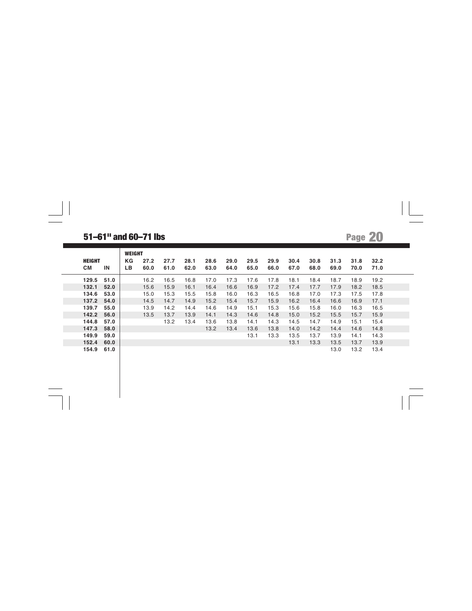<span id="page-24-0"></span>**51–61" and 60–71 lbs Page 20**

 $\frac{1}{\sqrt{2}}$ 

|  | ٧ | M. |
|--|---|----|

 $\frac{1}{\sqrt{1-\frac{1}{2}}}$ 

|               |      | <b>WEIGHT</b> |      |      |      |      |      |      |      |      |      |      |      |      |  |
|---------------|------|---------------|------|------|------|------|------|------|------|------|------|------|------|------|--|
| <b>HEIGHT</b> |      | ΚG            | 27.2 | 27.7 | 28.1 | 28.6 | 29.0 | 29.5 | 29.9 | 30.4 | 30.8 | 31.3 | 31.8 | 32.2 |  |
| CМ            | IN   | LВ            | 60.0 | 61.0 | 62.0 | 63.0 | 64.0 | 65.0 | 66.0 | 67.0 | 68.0 | 69.0 | 70.0 | 71.0 |  |
| 129.5         | 51.0 |               | 16.2 | 16.5 | 16.8 | 17.0 | 17.3 | 17.6 | 17.8 | 18.1 | 18.4 | 18.7 | 18.9 | 19.2 |  |
| 132.1         | 52.0 |               | 15.6 | 15.9 | 16.1 | 16.4 | 16.6 | 16.9 | 17.2 | 17.4 | 17.7 | 17.9 | 18.2 | 18.5 |  |
| 134.6         | 53.0 |               | 15.0 | 15.3 | 15.5 | 15.8 | 16.0 | 16.3 | 16.5 | 16.8 | 17.0 | 17.3 | 17.5 | 17.8 |  |
| 137.2         | 54.0 |               | 14.5 | 14.7 | 14.9 | 15.2 | 15.4 | 15.7 | 15.9 | 16.2 | 16.4 | 16.6 | 16.9 | 17.1 |  |
| 139.7         | 55.0 |               | 13.9 | 14.2 | 14.4 | 14.6 | 14.9 | 15.1 | 15.3 | 15.6 | 15.8 | 16.0 | 16.3 | 16.5 |  |
| 142.2         | 56.0 |               | 13.5 | 13.7 | 13.9 | 14.1 | 14.3 | 14.6 | 14.8 | 15.0 | 15.2 | 15.5 | 15.7 | 15.9 |  |
| 144.8         | 57.0 |               |      | 13.2 | 13.4 | 13.6 | 13.8 | 14.1 | 14.3 | 14.5 | 14.7 | 14.9 | 15.1 | 15.4 |  |
| 147.3         | 58.0 |               |      |      |      | 13.2 | 13.4 | 13.6 | 13.8 | 14.0 | 14.2 | 14.4 | 14.6 | 14.8 |  |
| 149.9         | 59.0 |               |      |      |      |      |      | 13.1 | 13.3 | 13.5 | 13.7 | 13.9 | 14.1 | 14.3 |  |
| 152.4         | 60.0 |               |      |      |      |      |      |      |      | 13.1 | 13.3 | 13.5 | 13.7 | 13.9 |  |
| 154.9         | 61.0 |               |      |      |      |      |      |      |      |      |      | 13.0 | 13.2 | 13.4 |  |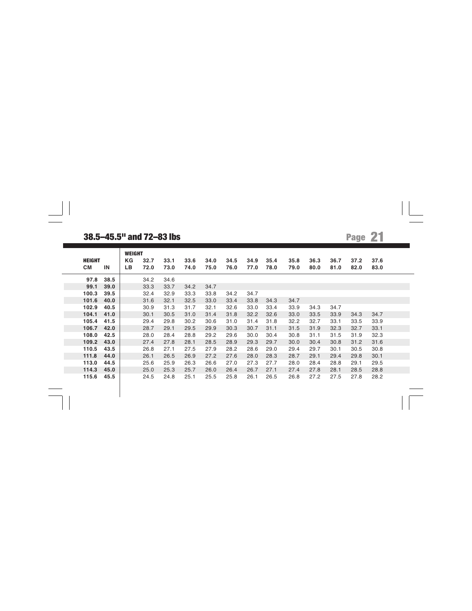**38.5–45.5" and 72–83 lbs Page 21**

<span id="page-25-0"></span> $\mathbf{\underline{}}^+$ 

| <b>HEIGHT</b><br>CМ | IN   | <b>WEIGHT</b><br>ΚG<br><b>LB</b> | 32.7<br>72.0 | 33.1<br>73.0 | 33.6<br>74.0 | 34.0<br>75.0 | 34.5<br>76.0 | 34.9<br>77.0 | 35.4<br>78.0 | 35.8<br>79.0 | 36.3<br>80.0 | 36.7<br>81.0 | 37.2<br>82.0 | 37.6<br>83.0 |  |
|---------------------|------|----------------------------------|--------------|--------------|--------------|--------------|--------------|--------------|--------------|--------------|--------------|--------------|--------------|--------------|--|
| 97.8                | 38.5 |                                  | 34.2         | 34.6         |              |              |              |              |              |              |              |              |              |              |  |
| 99.1                | 39.0 |                                  | 33.3         | 33.7         | 34.2         | 34.7         |              |              |              |              |              |              |              |              |  |
| 100.3               | 39.5 |                                  | 32.4         | 32.9         | 33.3         | 33.8         | 34.2         | 34.7         |              |              |              |              |              |              |  |
| 101.6               | 40.0 |                                  | 31.6         | 32.1         | 32.5         | 33.0         | 33.4         | 33.8         | 34.3         | 34.7         |              |              |              |              |  |
| 102.9               | 40.5 |                                  | 30.9         | 31.3         | 31.7         | 32.1         | 32.6         | 33.0         | 33.4         | 33.9         | 34.3         | 34.7         |              |              |  |
| 104.1               | 41.0 |                                  | 30.1         | 30.5         | 31.0         | 31.4         | 31.8         | 32.2         | 32.6         | 33.0         | 33.5         | 33.9         | 34.3         | 34.7         |  |
| 105.4               | 41.5 |                                  | 29.4         | 29.8         | 30.2         | 30.6         | 31.0         | 31.4         | 31.8         | 32.2         | 32.7         | 33.1         | 33.5         | 33.9         |  |
| 106.7               | 42.0 |                                  | 28.7         | 29.1         | 29.5         | 29.9         | 30.3         | 30.7         | 31.1         | 31.5         | 31.9         | 32.3         | 32.7         | 33.1         |  |
| 108.0               | 42.5 |                                  | 28.0         | 28.4         | 28.8         | 29.2         | 29.6         | 30.0         | 30.4         | 30.8         | 31.1         | 31.5         | 31.9         | 32.3         |  |
| 109.2               | 43.0 |                                  | 27.4         | 27.8         | 28.1         | 28.5         | 28.9         | 29.3         | 29.7         | 30.0         | 30.4         | 30.8         | 31.2         | 31.6         |  |
| 110.5               | 43.5 |                                  | 26.8         | 27.1         | 27.5         | 27.9         | 28.2         | 28.6         | 29.0         | 29.4         | 29.7         | 30.1         | 30.5         | 30.8         |  |
| 111.8               | 44.0 |                                  | 26.1         | 26.5         | 26.9         | 27.2         | 27.6         | 28.0         | 28.3         | 28.7         | 29.1         | 29.4         | 29.8         | 30.1         |  |
| 113.0               | 44.5 |                                  | 25.6         | 25.9         | 26.3         | 26.6         | 27.0         | 27.3         | 27.7         | 28.0         | 28.4         | 28.8         | 29.1         | 29.5         |  |
| 114.3               | 45.0 |                                  | 25.0         | 25.3         | 25.7         | 26.0         | 26.4         | 26.7         | 27.1         | 27.4         | 27.8         | 28.1         | 28.5         | 28.8         |  |
| 115.6               | 45.5 |                                  | 24.5         | 24.8         | 25.1         | 25.5         | 25.8         | 26.1         | 26.5         | 26.8         | 27.2         | 27.5         | 27.8         | 28.2         |  |
|                     |      |                                  |              |              |              |              |              |              |              |              |              |              |              |              |  |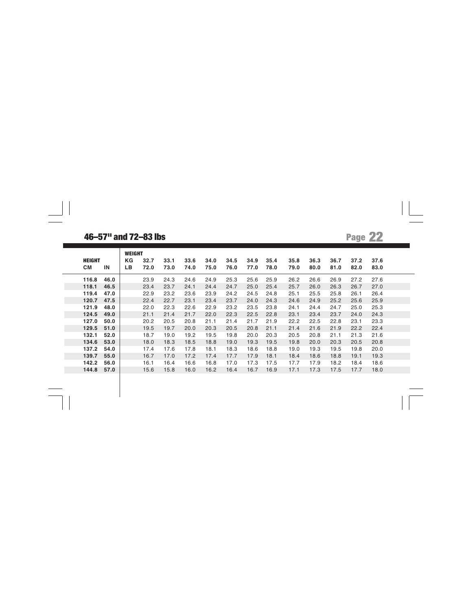**46–57" and 72–83 lbs Page 22**

 $\mathbf{\underline{}}$ 

 $\frac{1}{\sqrt{2}}$ 

|               |      | <b>WEIGHT</b> |      |      |      |      |      |      |      |      |      |      |      |      |  |  |
|---------------|------|---------------|------|------|------|------|------|------|------|------|------|------|------|------|--|--|
| <b>HEIGHT</b> |      | ΚG            | 32.7 | 33.1 | 33.6 | 34.0 | 34.5 | 34.9 | 35.4 | 35.8 | 36.3 | 36.7 | 37.2 | 37.6 |  |  |
| CМ            | IN   | LВ            | 72.0 | 73.0 | 74.0 | 75.0 | 76.0 | 77.0 | 78.0 | 79.0 | 80.0 | 81.0 | 82.0 | 83.0 |  |  |
| 116.8         | 46.0 |               | 23.9 | 24.3 | 24.6 | 24.9 | 25.3 | 25.6 | 25.9 | 26.2 | 26.6 | 26.9 | 27.2 | 27.6 |  |  |
| 118.1         | 46.5 |               | 23.4 | 23.7 | 24.1 | 24.4 | 24.7 | 25.0 | 25.4 | 25.7 | 26.0 | 26.3 | 26.7 | 27.0 |  |  |
| 119.4         | 47.0 |               | 22.9 | 23.2 | 23.6 | 23.9 | 24.2 | 24.5 | 24.8 | 25.1 | 25.5 | 25.8 | 26.1 | 26.4 |  |  |
| 120.7         | 47.5 |               | 22.4 | 22.7 | 23.1 | 23.4 | 23.7 | 24.0 | 24.3 | 24.6 | 24.9 | 25.2 | 25.6 | 25.9 |  |  |
| 121.9         | 48.0 |               | 22.0 | 22.3 | 22.6 | 22.9 | 23.2 | 23.5 | 23.8 | 24.1 | 24.4 | 24.7 | 25.0 | 25.3 |  |  |
| 124.5         | 49.0 |               | 21.1 | 21.4 | 21.7 | 22.0 | 22.3 | 22.5 | 22.8 | 23.1 | 23.4 | 23.7 | 24.0 | 24.3 |  |  |
| 127.0         | 50.0 |               | 20.2 | 20.5 | 20.8 | 21.1 | 21.4 | 21.7 | 21.9 | 22.2 | 22.5 | 22.8 | 23.1 | 23.3 |  |  |
| 129.5         | 51.0 |               | 19.5 | 19.7 | 20.0 | 20.3 | 20.5 | 20.8 | 21.1 | 21.4 | 21.6 | 21.9 | 22.2 | 22.4 |  |  |
| 132.1         | 52.0 |               | 18.7 | 19.0 | 19.2 | 19.5 | 19.8 | 20.0 | 20.3 | 20.5 | 20.8 | 21.1 | 21.3 | 21.6 |  |  |
| 134.6         | 53.0 |               | 18.0 | 18.3 | 18.5 | 18.8 | 19.0 | 19.3 | 19.5 | 19.8 | 20.0 | 20.3 | 20.5 | 20.8 |  |  |
| 137.2         | 54.0 |               | 17.4 | 17.6 | 17.8 | 18.1 | 18.3 | 18.6 | 18.8 | 19.0 | 19.3 | 19.5 | 19.8 | 20.0 |  |  |
| 139.7         | 55.0 |               | 16.7 | 17.0 | 17.2 | 17.4 | 17.7 | 17.9 | 18.1 | 18.4 | 18.6 | 18.8 | 19.1 | 19.3 |  |  |
| 142.2         | 56.0 |               | 16.1 | 16.4 | 16.6 | 16.8 | 17.0 | 17.3 | 17.5 | 17.7 | 17.9 | 18.2 | 18.4 | 18.6 |  |  |
| 144.8         | 57.0 |               | 15.6 | 15.8 | 16.0 | 16.2 | 16.4 | 16.7 | 16.9 | 17.1 | 17.3 | 17.5 | 17.7 | 18.0 |  |  |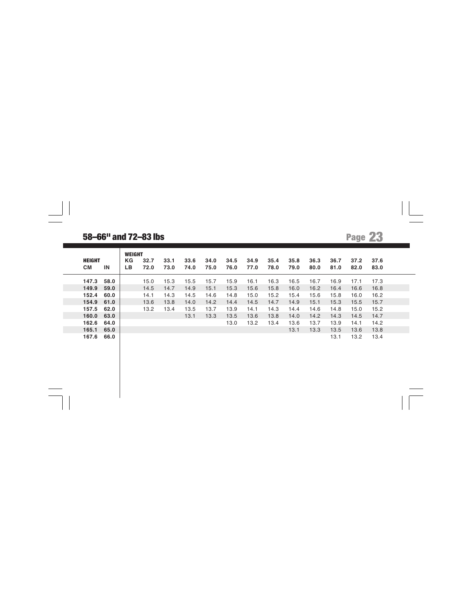<span id="page-27-0"></span>**58–66" and 72–83 lbs Page 23**

 $\frac{1}{\sqrt{2}}$ 

 $\mathbf{L}$ 

 $\frac{1}{\sqrt{1-\frac{1}{2}}}$ 

|               |      | <b>WEIGHT</b> |      |      |      |      |      |      |      |      |      |      |      |      |
|---------------|------|---------------|------|------|------|------|------|------|------|------|------|------|------|------|
| <b>HEIGHT</b> |      | ΚG            | 32.7 | 33.1 | 33.6 | 34.0 | 34.5 | 34.9 | 35.4 | 35.8 | 36.3 | 36.7 | 37.2 | 37.6 |
| CМ            | IN   | LВ            | 72.0 | 73.0 | 74.0 | 75.0 | 76.0 | 77.0 | 78.0 | 79.0 | 80.0 | 81.0 | 82.0 | 83.0 |
| 147.3         | 58.0 |               | 15.0 | 15.3 | 15.5 | 15.7 | 15.9 | 16.1 | 16.3 | 16.5 | 16.7 | 16.9 | 17.1 | 17.3 |
| 149.9 59.0    |      |               | 14.5 | 14.7 | 14.9 | 15.1 | 15.3 | 15.6 | 15.8 | 16.0 | 16.2 | 16.4 | 16.6 | 16.8 |
| 152.4         | 60.0 |               | 14.1 | 14.3 | 14.5 | 14.6 | 14.8 | 15.0 | 15.2 | 15.4 | 15.6 | 15.8 | 16.0 | 16.2 |
| 154.9 61.0    |      |               | 13.6 | 13.8 | 14.0 | 14.2 | 14.4 | 14.5 | 14.7 | 14.9 | 15.1 | 15.3 | 15.5 | 15.7 |
| 157.5 62.0    |      |               | 13.2 | 13.4 | 13.5 | 13.7 | 13.9 | 14.1 | 14.3 | 14.4 | 14.6 | 14.8 | 15.0 | 15.2 |
| 160.0 63.0    |      |               |      |      | 13.1 | 13.3 | 13.5 | 13.6 | 13.8 | 14.0 | 14.2 | 14.3 | 14.5 | 14.7 |
| 162.6         | 64.0 |               |      |      |      |      | 13.0 | 13.2 | 13.4 | 13.6 | 13.7 | 13.9 | 14.1 | 14.2 |
| 165.1         | 65.0 |               |      |      |      |      |      |      |      | 13.1 | 13.3 | 13.5 | 13.6 | 13.8 |
| 167.6         | 66.0 |               |      |      |      |      |      |      |      |      |      | 13.1 | 13.2 | 13.4 |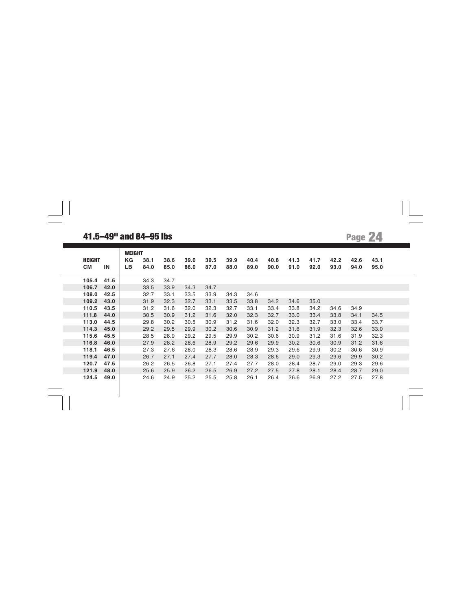**41.5–49" and 84–95 lbs Page 24**

<span id="page-28-0"></span> $\mathbf{\underline{}}^+$ 

| <b>HEIGHT</b><br>CМ | IN   | <b>WEIGHT</b><br>ΚG<br>LВ | 38.1<br>84.0 | 38.6<br>85.0 | 39.0<br>86.0 | 39.5<br>87.0 | 39.9<br>88.0 | 40.4<br>89.0 | 40.8<br>90.0 | 41.3<br>91.0 | 41.7<br>92.0 | 42.2<br>93.0 | 42.6<br>94.0 | 43.1<br>95.0 |  |
|---------------------|------|---------------------------|--------------|--------------|--------------|--------------|--------------|--------------|--------------|--------------|--------------|--------------|--------------|--------------|--|
| 105.4               | 41.5 |                           | 34.3         | 34.7         |              |              |              |              |              |              |              |              |              |              |  |
| 106.7               | 42.0 |                           | 33.5         | 33.9         | 34.3         | 34.7         |              |              |              |              |              |              |              |              |  |
| 108.0               | 42.5 |                           | 32.7         | 33.1         | 33.5         | 33.9         | 34.3         | 34.6         |              |              |              |              |              |              |  |
| 109.2               | 43.0 |                           | 31.9         | 32.3         | 32.7         | 33.1         | 33.5         | 33.8         | 34.2         | 34.6         | 35.0         |              |              |              |  |
| 110.5               | 43.5 |                           | 31.2         | 31.6         | 32.0         | 32.3         | 32.7         | 33.1         | 33.4         | 33.8         | 34.2         | 34.6         | 34.9         |              |  |
| 111.8               | 44.0 |                           | 30.5         | 30.9         | 31.2         | 31.6         | 32.0         | 32.3         | 32.7         | 33.0         | 33.4         | 33.8         | 34.1         | 34.5         |  |
| 113.0               | 44.5 |                           | 29.8         | 30.2         | 30.5         | 30.9         | 31.2         | 31.6         | 32.0         | 32.3         | 32.7         | 33.0         | 33.4         | 33.7         |  |
| 114.3               | 45.0 |                           | 29.2         | 29.5         | 29.9         | 30.2         | 30.6         | 30.9         | 31.2         | 31.6         | 31.9         | 32.3         | 32.6         | 33.0         |  |
| 115.6               | 45.5 |                           | 28.5         | 28.9         | 29.2         | 29.5         | 29.9         | 30.2         | 30.6         | 30.9         | 31.2         | 31.6         | 31.9         | 32.3         |  |
| 116.8               | 46.0 |                           | 27.9         | 28.2         | 28.6         | 28.9         | 29.2         | 29.6         | 29.9         | 30.2         | 30.6         | 30.9         | 31.2         | 31.6         |  |
| 118.1               | 46.5 |                           | 27.3         | 27.6         | 28.0         | 28.3         | 28.6         | 28.9         | 29.3         | 29.6         | 29.9         | 30.2         | 30.6         | 30.9         |  |
| 119.4               | 47.0 |                           | 26.7         | 27.1         | 27.4         | 27.7         | 28.0         | 28.3         | 28.6         | 29.0         | 29.3         | 29.6         | 29.9         | 30.2         |  |
| 120.7               | 47.5 |                           | 26.2         | 26.5         | 26.8         | 27.1         | 27.4         | 27.7         | 28.0         | 28.4         | 28.7         | 29.0         | 29.3         | 29.6         |  |
| 121.9               | 48.0 |                           | 25.6         | 25.9         | 26.2         | 26.5         | 26.9         | 27.2         | 27.5         | 27.8         | 28.1         | 28.4         | 28.7         | 29.0         |  |
| 124.5               | 49.0 |                           | 24.6         | 24.9         | 25.2         | 25.5         | 25.8         | 26.1         | 26.4         | 26.6         | 26.9         | 27.2         | 27.5         | 27.8         |  |
|                     |      |                           |              |              |              |              |              |              |              |              |              |              |              |              |  |
|                     |      |                           |              |              |              |              |              |              |              |              |              |              |              |              |  |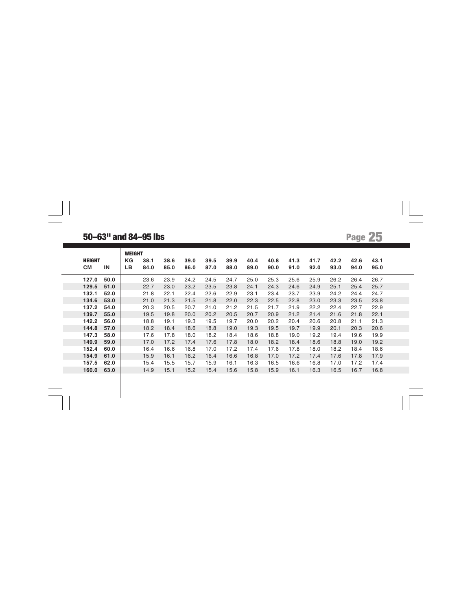<span id="page-29-0"></span>**50–63" and 84–95 lbs Page 25**

 $\frac{1}{\sqrt{2}}$ 

 $\frac{1}{\sqrt{1-\frac{1}{2}}}$ 

|               |      | <b>WEIGHT</b> |      |      |      |      |      |      |      |      |      |      |      |      |
|---------------|------|---------------|------|------|------|------|------|------|------|------|------|------|------|------|
| <b>HEIGHT</b> |      | ΚG            | 38.1 | 38.6 | 39.0 | 39.5 | 39.9 | 40.4 | 40.8 | 41.3 | 41.7 | 42.2 | 42.6 | 43.1 |
| CМ            | IN   | LВ            | 84.0 | 85.0 | 86.0 | 87.0 | 88.0 | 89.0 | 90.0 | 91.0 | 92.0 | 93.0 | 94.0 | 95.0 |
| 127.0         | 50.0 |               | 23.6 | 23.9 | 24.2 | 24.5 | 24.7 | 25.0 | 25.3 | 25.6 | 25.9 | 26.2 | 26.4 | 26.7 |
| 129.5         | 51.0 |               | 22.7 | 23.0 | 23.2 | 23.5 | 23.8 | 24.1 | 24.3 | 24.6 | 24.9 | 25.1 | 25.4 | 25.7 |
| 132.1         | 52.0 |               | 21.8 | 22.1 | 22.4 | 22.6 | 22.9 | 23.1 | 23.4 | 23.7 | 23.9 | 24.2 | 24.4 | 24.7 |
| 134.6         | 53.0 |               | 21.0 | 21.3 | 21.5 | 21.8 | 22.0 | 22.3 | 22.5 | 22.8 | 23.0 | 23.3 | 23.5 | 23.8 |
| 137.2         | 54.0 |               | 20.3 | 20.5 | 20.7 | 21.0 | 21.2 | 21.5 | 21.7 | 21.9 | 22.2 | 22.4 | 22.7 | 22.9 |
| 139.7         | 55.0 |               | 19.5 | 19.8 | 20.0 | 20.2 | 20.5 | 20.7 | 20.9 | 21.2 | 21.4 | 21.6 | 21.8 | 22.1 |
| 142.2         | 56.0 |               | 18.8 | 19.1 | 19.3 | 19.5 | 19.7 | 20.0 | 20.2 | 20.4 | 20.6 | 20.8 | 21.1 | 21.3 |
| 144.8         | 57.0 |               | 18.2 | 18.4 | 18.6 | 18.8 | 19.0 | 19.3 | 19.5 | 19.7 | 19.9 | 20.1 | 20.3 | 20.6 |
| 147.3         | 58.0 |               | 17.6 | 17.8 | 18.0 | 18.2 | 18.4 | 18.6 | 18.8 | 19.0 | 19.2 | 19.4 | 19.6 | 19.9 |
| 149.9         | 59.0 |               | 17.0 | 17.2 | 17.4 | 17.6 | 17.8 | 18.0 | 18.2 | 18.4 | 18.6 | 18.8 | 19.0 | 19.2 |
| 152.4         | 60.0 |               | 16.4 | 16.6 | 16.8 | 17.0 | 17.2 | 17.4 | 17.6 | 17.8 | 18.0 | 18.2 | 18.4 | 18.6 |
| 154.9         | 61.0 |               | 15.9 | 16.1 | 16.2 | 16.4 | 16.6 | 16.8 | 17.0 | 17.2 | 17.4 | 17.6 | 17.8 | 17.9 |
| 157.5         | 62.0 |               | 15.4 | 15.5 | 15.7 | 15.9 | 16.1 | 16.3 | 16.5 | 16.6 | 16.8 | 17.0 | 17.2 | 17.4 |
| 160.0         | 63.0 |               | 14.9 | 15.1 | 15.2 | 15.4 | 15.6 | 15.8 | 15.9 | 16.1 | 16.3 | 16.5 | 16.7 | 16.8 |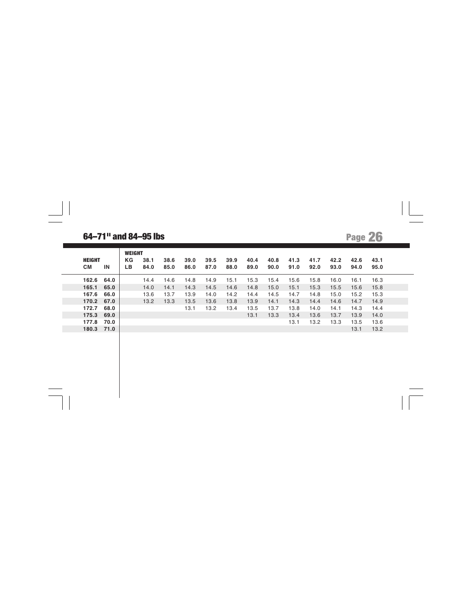| Page 26<br>64–71" and 84–95 lbs |
|---------------------------------|
|---------------------------------|

<span id="page-30-0"></span> $\mathbf{r}$ 

 $\frac{1}{\sqrt{2}}$ 

 $\begin{tabular}{c} \hline \quad \quad & \quad \quad & \quad \quad \\ \hline \quad \quad & \quad \quad & \quad \quad \\ \hline \quad \quad & \quad \quad \\ \hline \end{tabular}$ 

 $\begin{tabular}{|c|c|c|c|c|} \hline \quad \quad & \quad \quad & \quad \quad & \quad \quad \\ \hline \quad \quad & \quad \quad & \quad \quad & \quad \quad \\ \hline \quad \quad & \quad \quad & \quad \quad & \quad \quad \\ \hline \end{tabular}$ 

|               |      | <b>WEIGHT</b> |      |      |      |      |      |      |      |      |      |      |      |      |  |
|---------------|------|---------------|------|------|------|------|------|------|------|------|------|------|------|------|--|
| <b>HEIGHT</b> |      | ΚG            | 38.1 | 38.6 | 39.0 | 39.5 | 39.9 | 40.4 | 40.8 | 41.3 | 41.7 | 42.2 | 42.6 | 43.1 |  |
| CМ            | IN   | LВ            | 84.0 | 85.0 | 86.0 | 87.0 | 88.0 | 89.0 | 90.0 | 91.0 | 92.0 | 93.0 | 94.0 | 95.0 |  |
| 162.6         | 64.0 |               | 14.4 | 14.6 | 14.8 | 14.9 | 15.1 | 15.3 | 15.4 | 15.6 | 15.8 | 16.0 | 16.1 | 16.3 |  |
| 165.1         | 65.0 |               | 14.0 | 14.1 | 14.3 | 14.5 | 14.6 | 14.8 | 15.0 | 15.1 | 15.3 | 15.5 | 15.6 | 15.8 |  |
| 167.6         | 66.0 |               | 13.6 | 13.7 | 13.9 | 14.0 | 14.2 | 14.4 | 14.5 | 14.7 | 14.8 | 15.0 | 15.2 | 15.3 |  |
| 170.2         | 67.0 |               | 13.2 | 13.3 | 13.5 | 13.6 | 13.8 | 13.9 | 14.1 | 14.3 | 14.4 | 14.6 | 14.7 | 14.9 |  |
| 172.7         | 68.0 |               |      |      | 13.1 | 13.2 | 13.4 | 13.5 | 13.7 | 13.8 | 14.0 | 14.1 | 14.3 | 14.4 |  |
| 175.3         | 69.0 |               |      |      |      |      |      | 13.1 | 13.3 | 13.4 | 13.6 | 13.7 | 13.9 | 14.0 |  |
| 177.8         | 70.0 |               |      |      |      |      |      |      |      | 13.1 | 13.2 | 13.3 | 13.5 | 13.6 |  |
| 180.3         | 71.0 |               |      |      |      |      |      |      |      |      |      |      | 13.1 | 13.2 |  |
|               |      |               |      |      |      |      |      |      |      |      |      |      |      |      |  |
|               |      |               |      |      |      |      |      |      |      |      |      |      |      |      |  |
|               |      |               |      |      |      |      |      |      |      |      |      |      |      |      |  |
|               |      |               |      |      |      |      |      |      |      |      |      |      |      |      |  |
|               |      |               |      |      |      |      |      |      |      |      |      |      |      |      |  |
|               |      |               |      |      |      |      |      |      |      |      |      |      |      |      |  |
|               |      |               |      |      |      |      |      |      |      |      |      |      |      |      |  |
|               |      |               |      |      |      |      |      |      |      |      |      |      |      |      |  |
|               |      |               |      |      |      |      |      |      |      |      |      |      |      |      |  |
|               |      |               |      |      |      |      |      |      |      |      |      |      |      |      |  |
|               |      |               |      |      |      |      |      |      |      |      |      |      |      |      |  |
|               |      |               |      |      |      |      |      |      |      |      |      |      |      |      |  |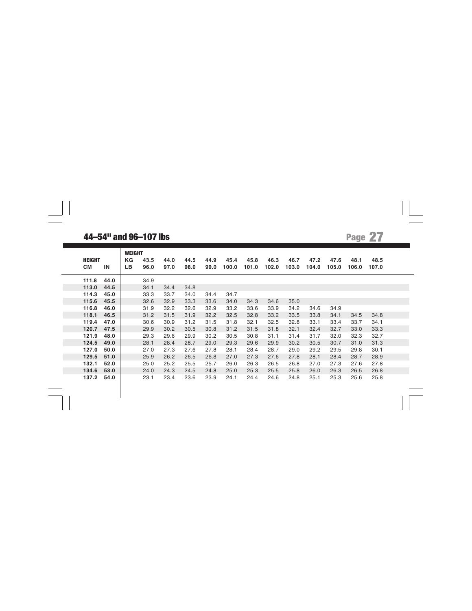**44–54" and 96–107 lbs Page 27**

<span id="page-31-0"></span> $\mathbf{\underline{}}$ 

 $\vert\,\vert_{\perp}$ 

|               |      | <b>WEIGHT</b> |      |      |      |      |       |       |       |       |       |       |       |       |  |
|---------------|------|---------------|------|------|------|------|-------|-------|-------|-------|-------|-------|-------|-------|--|
| <b>HEIGHT</b> |      | ΚG            | 43.5 | 44.0 | 44.5 | 44.9 | 45.4  | 45.8  | 46.3  | 46.7  | 47.2  | 47.6  | 48.1  | 48.5  |  |
| CМ            | IN   | LВ            | 96.0 | 97.0 | 98.0 | 99.0 | 100.0 | 101.0 | 102.0 | 103.0 | 104.0 | 105.0 | 106.0 | 107.0 |  |
| 111.8         | 44.0 |               | 34.9 |      |      |      |       |       |       |       |       |       |       |       |  |
| 113.0         | 44.5 |               | 34.1 | 34.4 | 34.8 |      |       |       |       |       |       |       |       |       |  |
| 114.3         | 45.0 |               | 33.3 | 33.7 | 34.0 | 34.4 | 34.7  |       |       |       |       |       |       |       |  |
| 115.6         | 45.5 |               | 32.6 | 32.9 | 33.3 | 33.6 | 34.0  | 34.3  | 34.6  | 35.0  |       |       |       |       |  |
| 116.8         | 46.0 |               | 31.9 | 32.2 | 32.6 | 32.9 | 33.2  | 33.6  | 33.9  | 34.2  | 34.6  | 34.9  |       |       |  |
| 118.1         | 46.5 |               | 31.2 | 31.5 | 31.9 | 32.2 | 32.5  | 32.8  | 33.2  | 33.5  | 33.8  | 34.1  | 34.5  | 34.8  |  |
| 119.4         | 47.0 |               | 30.6 | 30.9 | 31.2 | 31.5 | 31.8  | 32.1  | 32.5  | 32.8  | 33.1  | 33.4  | 33.7  | 34.1  |  |
| 120.7         | 47.5 |               | 29.9 | 30.2 | 30.5 | 30.8 | 31.2  | 31.5  | 31.8  | 32.1  | 32.4  | 32.7  | 33.0  | 33.3  |  |
| 121.9         | 48.0 |               | 29.3 | 29.6 | 29.9 | 30.2 | 30.5  | 30.8  | 31.1  | 31.4  | 31.7  | 32.0  | 32.3  | 32.7  |  |
| 124.5         | 49.0 |               | 28.1 | 28.4 | 28.7 | 29.0 | 29.3  | 29.6  | 29.9  | 30.2  | 30.5  | 30.7  | 31.0  | 31.3  |  |
| 127.0         | 50.0 |               | 27.0 | 27.3 | 27.6 | 27.8 | 28.1  | 28.4  | 28.7  | 29.0  | 29.2  | 29.5  | 29.8  | 30.1  |  |
| 129.5         | 51.0 |               | 25.9 | 26.2 | 26.5 | 26.8 | 27.0  | 27.3  | 27.6  | 27.8  | 28.1  | 28.4  | 28.7  | 28.9  |  |
| 132.1         | 52.0 |               | 25.0 | 25.2 | 25.5 | 25.7 | 26.0  | 26.3  | 26.5  | 26.8  | 27.0  | 27.3  | 27.6  | 27.8  |  |
| 134.6         | 53.0 |               | 24.0 | 24.3 | 24.5 | 24.8 | 25.0  | 25.3  | 25.5  | 25.8  | 26.0  | 26.3  | 26.5  | 26.8  |  |
| 137.2         | 54.0 |               | 23.1 | 23.4 | 23.6 | 23.9 | 24.1  | 24.4  | 24.6  | 24.8  | 25.1  | 25.3  | 25.6  | 25.8  |  |
|               |      |               |      |      |      |      |       |       |       |       |       |       |       |       |  |
|               |      |               |      |      |      |      |       |       |       |       |       |       |       |       |  |
|               |      |               |      |      |      |      |       |       |       |       |       |       |       |       |  |
|               |      |               |      |      |      |      |       |       |       |       |       |       |       |       |  |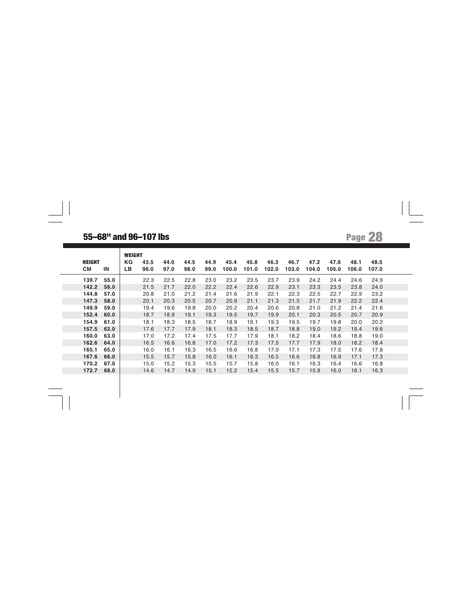<span id="page-32-0"></span>**55–68" and 96–107 lbs Page 28**

 $\overline{\overline{\mathbb{u}}}$ 

 $\sqrt{-}$ 

|               |      | <b>WEIGHT</b> |      |      |      |      |       |       |       |       |       |       |       |       |  |
|---------------|------|---------------|------|------|------|------|-------|-------|-------|-------|-------|-------|-------|-------|--|
| <b>HEIGHT</b> |      | КG            | 43.5 | 44.0 | 44.5 | 44.9 | 45.4  | 45.8  | 46.3  | 46.7  | 47.2  | 47.6  | 48.1  | 48.5  |  |
| CМ            | IN   | LВ            | 96.0 | 97.0 | 98.0 | 99.0 | 100.0 | 101.0 | 102.0 | 103.0 | 104.0 | 105.0 | 106.0 | 107.0 |  |
| 139.7         | 55.0 |               | 22.3 | 22.5 | 22.8 | 23.0 | 23.2  | 23.5  | 23.7  | 23.9  | 24.2  | 24.4  | 24.6  | 24.9  |  |
| 142.2         | 56.0 |               | 21.5 | 21.7 | 22.0 | 22.2 | 22.4  | 22.6  | 22.9  | 23.1  | 23.3  | 23.5  | 23.8  | 24.0  |  |
| 144.8         | 57.0 |               | 20.8 | 21.0 | 21.2 | 21.4 | 21.6  | 21.9  | 22.1  | 22.3  | 22.5  | 22.7  | 22.9  | 23.2  |  |
| 147.3         | 58.0 |               | 20.1 | 20.3 | 20.5 | 20.7 | 20.9  | 21.1  | 21.3  | 21.5  | 21.7  | 21.9  | 22.2  | 22.4  |  |
| 149.9         | 59.0 |               | 19.4 | 19.6 | 19.8 | 20.0 | 20.2  | 20.4  | 20.6  | 20.8  | 21.0  | 21.2  | 21.4  | 21.6  |  |
| 152.4         | 60.0 |               | 18.7 | 18.9 | 19.1 | 19.3 | 19.5  | 19.7  | 19.9  | 20.1  | 20.3  | 20.5  | 20.7  | 20.9  |  |
| 154.9         | 61.0 |               | 18.1 | 18.3 | 18.5 | 18.7 | 18.9  | 19.1  | 19.3  | 19.5  | 19.7  | 19.8  | 20.0  | 20.2  |  |
| 157.5         | 62.0 |               | 17.6 | 17.7 | 17.9 | 18.1 | 18.3  | 18.5  | 18.7  | 18.8  | 19.0  | 19.2  | 19.4  | 19.6  |  |
| 160.0         | 63.0 |               | 17.0 | 17.2 | 17.4 | 17.5 | 17.7  | 17.9  | 18.1  | 18.2  | 18.4  | 18.6  | 18.8  | 19.0  |  |
| 162.6         | 64.0 |               | 16.5 | 16.6 | 16.8 | 17.0 | 17.2  | 17.3  | 17.5  | 17.7  | 17.9  | 18.0  | 18.2  | 18.4  |  |
| 165.1         | 65.0 |               | 16.0 | 16.1 | 16.3 | 16.5 | 16.6  | 16.8  | 17.0  | 17.1  | 17.3  | 17.5  | 17.6  | 17.8  |  |
| 167.6         | 66.0 |               | 15.5 | 15.7 | 15.8 | 16.0 | 16.1  | 16.3  | 16.5  | 16.6  | 16.8  | 16.9  | 17.1  | 17.3  |  |
| 170.2         | 67.0 |               | 15.0 | 15.2 | 15.3 | 15.5 | 15.7  | 15.8  | 16.0  | 16.1  | 16.3  | 16.4  | 16.6  | 16.8  |  |
| 172.7         | 68.0 |               | 14.6 | 14.7 | 14.9 | 15.1 | 15.2  | 15.4  | 15.5  | 15.7  | 15.8  | 16.0  | 16.1  | 16.3  |  |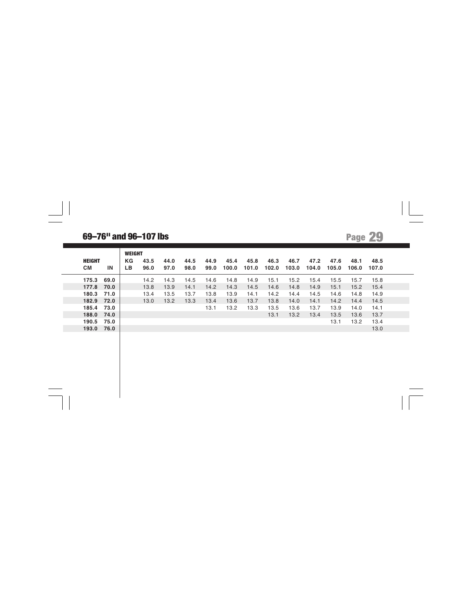<span id="page-33-0"></span>

| Page 29<br>69–76" and 96–107 lbs |
|----------------------------------|
|----------------------------------|

 $\frac{1}{\sqrt{2}}$ 

 $\begin{tabular}{|c|c|c|c|c|} \hline \quad \quad & \quad \quad & \quad \quad & \quad \quad \\ \hline \quad \quad & \quad \quad & \quad \quad & \quad \quad \\ \hline \quad \quad & \quad \quad & \quad \quad & \quad \quad \\ \hline \end{tabular}$ 

|               |      | WEIGHT |      |      |      |      |       |       |       |       |       |       |       |       |   |
|---------------|------|--------|------|------|------|------|-------|-------|-------|-------|-------|-------|-------|-------|---|
| <b>HEIGHT</b> |      | ΚG     | 43.5 | 44.0 | 44.5 | 44.9 | 45.4  | 45.8  | 46.3  | 46.7  | 47.2  | 47.6  | 48.1  | 48.5  |   |
| CМ            | IN   | LВ     | 96.0 | 97.0 | 98.0 | 99.0 | 100.0 | 101.0 | 102.0 | 103.0 | 104.0 | 105.0 | 106.0 | 107.0 |   |
| 175.3         | 69.0 |        | 14.2 | 14.3 | 14.5 | 14.6 | 14.8  | 14.9  | 15.1  | 15.2  | 15.4  | 15.5  | 15.7  | 15.8  |   |
| 177.8         | 70.0 |        | 13.8 | 13.9 | 14.1 | 14.2 | 14.3  | 14.5  | 14.6  | 14.8  | 14.9  | 15.1  | 15.2  | 15.4  |   |
| 180.3         | 71.0 |        | 13.4 | 13.5 | 13.7 | 13.8 | 13.9  | 14.1  | 14.2  | 14.4  | 14.5  | 14.6  | 14.8  | 14.9  |   |
| 182.9         | 72.0 |        | 13.0 | 13.2 | 13.3 | 13.4 | 13.6  | 13.7  | 13.8  | 14.0  | 14.1  | 14.2  | 14.4  | 14.5  |   |
| 185.4         | 73.0 |        |      |      |      | 13.1 | 13.2  | 13.3  | 13.5  | 13.6  | 13.7  | 13.9  | 14.0  | 14.1  |   |
| 188.0         | 74.0 |        |      |      |      |      |       |       | 13.1  | 13.2  | 13.4  | 13.5  | 13.6  | 13.7  |   |
| 190.5         | 75.0 |        |      |      |      |      |       |       |       |       |       | 13.1  | 13.2  | 13.4  |   |
| 193.0         | 76.0 |        |      |      |      |      |       |       |       |       |       |       |       | 13.0  |   |
|               |      |        |      |      |      |      |       |       |       |       |       |       |       |       |   |
|               |      |        |      |      |      |      |       |       |       |       |       |       |       |       |   |
|               |      |        |      |      |      |      |       |       |       |       |       |       |       |       |   |
|               |      |        |      |      |      |      |       |       |       |       |       |       |       |       |   |
|               |      |        |      |      |      |      |       |       |       |       |       |       |       |       |   |
|               |      |        |      |      |      |      |       |       |       |       |       |       |       |       |   |
|               |      |        |      |      |      |      |       |       |       |       |       |       |       |       |   |
|               |      |        |      |      |      |      |       |       |       |       |       |       |       |       | - |
|               |      |        |      |      |      |      |       |       |       |       |       |       |       |       |   |
|               |      |        |      |      |      |      |       |       |       |       |       |       |       |       |   |
|               |      |        |      |      |      |      |       |       |       |       |       |       |       |       |   |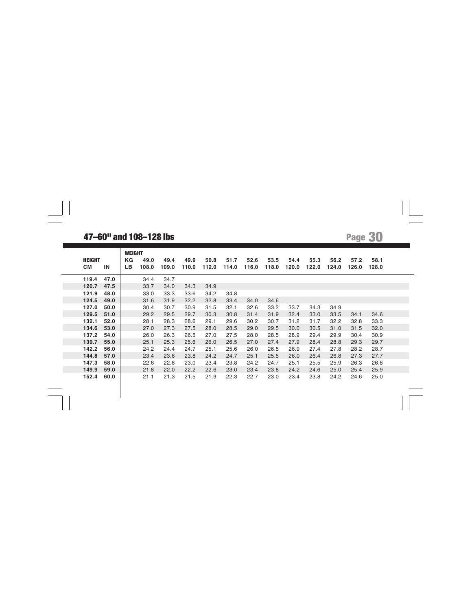**47–60" and 108–128 lbs**

 $\mathbf{r}$ 

 $\vert\,\vert_{\perp}$ 

|               |      | <b>WEIGHT</b> |       |       |       |       |       |       |       |       |       |       |       |       |  |
|---------------|------|---------------|-------|-------|-------|-------|-------|-------|-------|-------|-------|-------|-------|-------|--|
| <b>HEIGHT</b> |      | ΚG            | 49.0  | 49.4  | 49.9  | 50.8  | 51.7  | 52.6  | 53.5  | 54.4  | 55.3  | 56.2  | 57.2  | 58.1  |  |
| CМ            | IN   | LВ            | 108.0 | 109.0 | 110.0 | 112.0 | 114.0 | 116.0 | 118.0 | 120.0 | 122.0 | 124.0 | 126.0 | 128.0 |  |
| 119.4         | 47.0 |               | 34.4  | 34.7  |       |       |       |       |       |       |       |       |       |       |  |
| 120.7         | 47.5 |               | 33.7  | 34.0  | 34.3  | 34.9  |       |       |       |       |       |       |       |       |  |
| 121.9         | 48.0 |               | 33.0  | 33.3  | 33.6  | 34.2  | 34.8  |       |       |       |       |       |       |       |  |
| 124.5         | 49.0 |               | 31.6  | 31.9  | 32.2  | 32.8  | 33.4  | 34.0  | 34.6  |       |       |       |       |       |  |
| 127.0         | 50.0 |               | 30.4  | 30.7  | 30.9  | 31.5  | 32.1  | 32.6  | 33.2  | 33.7  | 34.3  | 34.9  |       |       |  |
| 129.5         | 51.0 |               | 29.2  | 29.5  | 29.7  | 30.3  | 30.8  | 31.4  | 31.9  | 32.4  | 33.0  | 33.5  | 34.1  | 34.6  |  |
| 132.1         | 52.0 |               | 28.1  | 28.3  | 28.6  | 29.1  | 29.6  | 30.2  | 30.7  | 31.2  | 31.7  | 32.2  | 32.8  | 33.3  |  |
| 134.6         | 53.0 |               | 27.0  | 27.3  | 27.5  | 28.0  | 28.5  | 29.0  | 29.5  | 30.0  | 30.5  | 31.0  | 31.5  | 32.0  |  |
| 137.2         | 54.0 |               | 26.0  | 26.3  | 26.5  | 27.0  | 27.5  | 28.0  | 28.5  | 28.9  | 29.4  | 29.9  | 30.4  | 30.9  |  |
| 139.7         | 55.0 |               | 25.1  | 25.3  | 25.6  | 26.0  | 26.5  | 27.0  | 27.4  | 27.9  | 28.4  | 28.8  | 29.3  | 29.7  |  |
| 142.2         | 56.0 |               | 24.2  | 24.4  | 24.7  | 25.1  | 25.6  | 26.0  | 26.5  | 26.9  | 27.4  | 27.8  | 28.2  | 28.7  |  |
| 144.8         | 57.0 |               | 23.4  | 23.6  | 23.8  | 24.2  | 24.7  | 25.1  | 25.5  | 26.0  | 26.4  | 26.8  | 27.3  | 27.7  |  |
| 147.3         | 58.0 |               | 22.6  | 22.8  | 23.0  | 23.4  | 23.8  | 24.2  | 24.7  | 25.1  | 25.5  | 25.9  | 26.3  | 26.8  |  |
| 149.9         | 59.0 |               | 21.8  | 22.0  | 22.2  | 22.6  | 23.0  | 23.4  | 23.8  | 24.2  | 24.6  | 25.0  | 25.4  | 25.9  |  |
| 152.4         | 60.0 |               | 21.1  | 21.3  | 21.5  | 21.9  | 22.3  | 22.7  | 23.0  | 23.4  | 23.8  | 24.2  | 24.6  | 25.0  |  |
|               |      |               |       |       |       |       |       |       |       |       |       |       |       |       |  |
|               |      |               |       |       |       |       |       |       |       |       |       |       |       |       |  |
|               |      |               |       |       |       |       |       |       |       |       |       |       |       |       |  |
|               |      |               |       |       |       |       |       |       |       |       |       |       |       |       |  |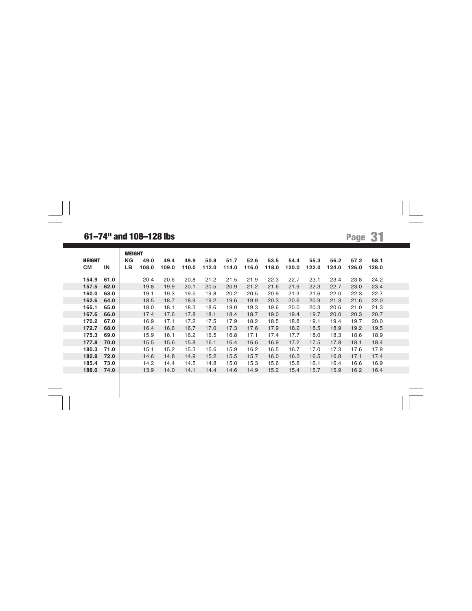**61–74" and 108–128 lbs Page 31**

<span id="page-35-0"></span> $\mathbf{\underline{}}^+$ 

 $\frac{1}{\sqrt{2}}$ 

|               |      | <b>WEIGHT</b> |       |       |       |       |       |       |       |       |       |       |       |       |  |
|---------------|------|---------------|-------|-------|-------|-------|-------|-------|-------|-------|-------|-------|-------|-------|--|
| <b>HEIGHT</b> |      | ΚG            | 49.0  | 49.4  | 49.9  | 50.8  | 51.7  | 52.6  | 53.5  | 54.4  | 55.3  | 56.2  | 57.2  | 58.1  |  |
| CМ            | IN   | LВ            | 108.0 | 109.0 | 110.0 | 112.0 | 114.0 | 116.0 | 118.0 | 120.0 | 122.0 | 124.0 | 126.0 | 128.0 |  |
| 154.9         | 61.0 |               | 20.4  | 20.6  | 20.8  | 21.2  | 21.5  | 21.9  | 22.3  | 22.7  | 23.1  | 23.4  | 23.8  | 24.2  |  |
| 157.5         | 62.0 |               | 19.8  | 19.9  | 20.1  | 20.5  | 20.9  | 21.2  | 21.6  | 21.9  | 22.3  | 22.7  | 23.0  | 23.4  |  |
| 160.0         | 63.0 |               | 19.1  | 19.3  | 19.5  | 19.8  | 20.2  | 20.5  | 20.9  | 21.3  | 21.6  | 22.0  | 22.3  | 22.7  |  |
| 162.6         | 64.0 |               | 18.5  | 18.7  | 18.9  | 19.2  | 19.6  | 19.9  | 20.3  | 20.6  | 20.9  | 21.3  | 21.6  | 22.0  |  |
| 165.1         | 65.0 |               | 18.0  | 18.1  | 18.3  | 18.6  | 19.0  | 19.3  | 19.6  | 20.0  | 20.3  | 20.6  | 21.0  | 21.3  |  |
| 167.6         | 66.0 |               | 17.4  | 17.6  | 17.8  | 18.1  | 18.4  | 18.7  | 19.0  | 19.4  | 19.7  | 20.0  | 20.3  | 20.7  |  |
| 170.2         | 67.0 |               | 16.9  | 17.1  | 17.2  | 17.5  | 17.9  | 18.2  | 18.5  | 18.8  | 19.1  | 19.4  | 19.7  | 20.0  |  |
| 172.7         | 68.0 |               | 16.4  | 16.6  | 16.7  | 17.0  | 17.3  | 17.6  | 17.9  | 18.2  | 18.5  | 18.9  | 19.2  | 19.5  |  |
| 175.3         | 69.0 |               | 15.9  | 16.1  | 16.2  | 16.5  | 16.8  | 17.1  | 17.4  | 17.7  | 18.0  | 18.3  | 18.6  | 18.9  |  |
| 177.8         | 70.0 |               | 15.5  | 15.6  | 15.8  | 16.1  | 16.4  | 16.6  | 16.9  | 17.2  | 17.5  | 17.8  | 18.1  | 18.4  |  |
| 180.3         | 71.0 |               | 15.1  | 15.2  | 15.3  | 15.6  | 15.9  | 16.2  | 16.5  | 16.7  | 17.0  | 17.3  | 17.6  | 17.9  |  |
| 182.9         | 72.0 |               | 14.6  | 14.8  | 14.9  | 15.2  | 15.5  | 15.7  | 16.0  | 16.3  | 16.5  | 16.8  | 17.1  | 17.4  |  |
| 185.4         | 73.0 |               | 14.2  | 14.4  | 14.5  | 14.8  | 15.0  | 15.3  | 15.6  | 15.8  | 16.1  | 16.4  | 16.6  | 16.9  |  |
| 188.0         | 74.0 |               | 13.9  | 14.0  | 14.1  | 14.4  | 14.6  | 14.9  | 15.2  | 15.4  | 15.7  | 15.9  | 16.2  | 16.4  |  |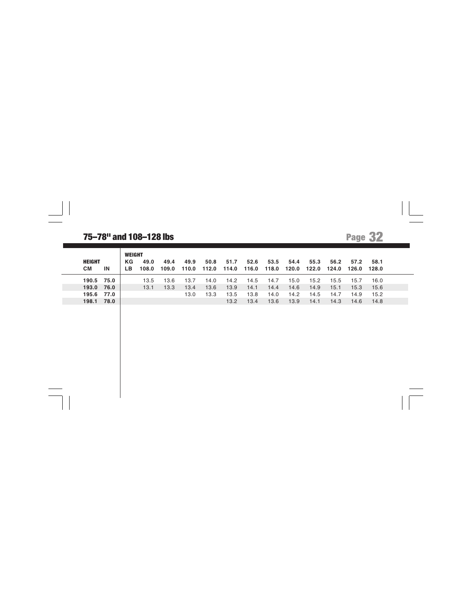## **75–78" and 108–128 lbs Page 32**

<span id="page-36-0"></span> $\begin{array}{c|c} \hline \hline \hline \end{array}$ 

|               |      | <b>WEIGHT</b> |       |       |       |       |       |       |       |       |       |       |       |       |  |
|---------------|------|---------------|-------|-------|-------|-------|-------|-------|-------|-------|-------|-------|-------|-------|--|
| <b>HEIGHT</b> |      | ΚG            | 49.0  | 49.4  | 49.9  | 50.8  | 51.7  | 52.6  | 53.5  | 54.4  | 55.3  | 56.2  | 57.2  | 58.1  |  |
| СM            | IN   | LB            | 108.0 | 109.0 | 110.0 | 112.0 | 114.0 | 116.0 | 118.0 | 120.0 | 122.0 | 124.0 | 126.0 | 128.0 |  |
| 190.5         | 75.0 |               | 13.5  | 13.6  | 13.7  | 14.0  | 14.2  | 14.5  | 14.7  | 15.0  | 15.2  | 15.5  | 15.7  | 16.0  |  |
| 193.0         | 76.0 |               | 13.1  | 13.3  | 13.4  | 13.6  | 13.9  | 14.1  | 14.4  | 14.6  | 14.9  | 15.1  | 15.3  | 15.6  |  |
| 195.6         | 77.0 |               |       |       | 13.0  | 13.3  | 13.5  | 13.8  | 14.0  | 14.2  | 14.5  | 14.7  | 14.9  | 15.2  |  |
| 198.1         | 78.0 |               |       |       |       |       | 13.2  | 13.4  | 13.6  | 13.9  | 14.1  | 14.3  | 14.6  | 14.8  |  |
|               |      |               |       |       |       |       |       |       |       |       |       |       |       |       |  |
|               |      |               |       |       |       |       |       |       |       |       |       |       |       |       |  |
|               |      |               |       |       |       |       |       |       |       |       |       |       |       |       |  |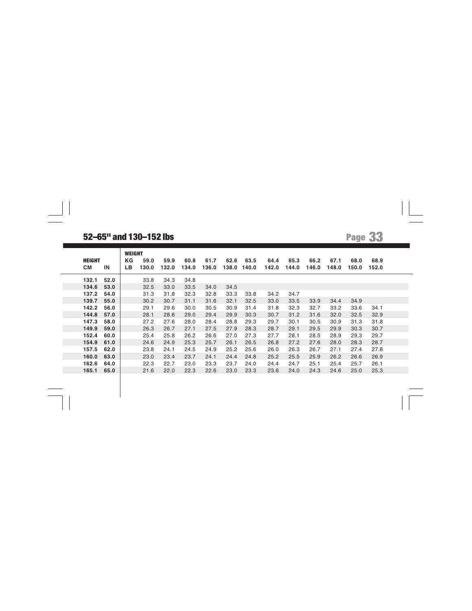<span id="page-37-0"></span>**52–65" and 130–152 lbs Page 33**

 $\frac{1}{\sqrt{2}}$ 

|               |      | <b>WEIGHT</b> |       |       |       |       |       |       |       |       |       |       |       |       |  |
|---------------|------|---------------|-------|-------|-------|-------|-------|-------|-------|-------|-------|-------|-------|-------|--|
| <b>HEIGHT</b> |      | ΚG            | 59.0  | 59.9  | 60.8  | 61.7  | 62.6  | 63.5  | 64.4  | 65.3  | 66.2  | 67.1  | 68.0  | 68.9  |  |
| <b>CM</b>     | IN   | LВ            | 130.0 | 132.0 | 134.0 | 136.0 | 138.0 | 140.0 | 142.0 | 144.0 | 146.0 | 148.0 | 150.0 | 152.0 |  |
| 132.1         | 52.0 |               | 33.8  | 34.3  | 34.8  |       |       |       |       |       |       |       |       |       |  |
| 134.6         | 53.0 |               | 32.5  | 33.0  | 33.5  | 34.0  | 34.5  |       |       |       |       |       |       |       |  |
| 137.2         | 54.0 |               | 31.3  | 31.8  | 32.3  | 32.8  | 33.3  | 33.8  | 34.2  | 34.7  |       |       |       |       |  |
| 139.7         | 55.0 |               | 30.2  | 30.7  | 31.1  | 31.6  | 32.1  | 32.5  | 33.0  | 33.5  | 33.9  | 34.4  | 34.9  |       |  |
| 142.2         | 56.0 |               | 29.1  | 29.6  | 30.0  | 30.5  | 30.9  | 31.4  | 31.8  | 32.3  | 32.7  | 33.2  | 33.6  | 34.1  |  |
| 144.8         | 57.0 |               | 28.1  | 28.6  | 29.0  | 29.4  | 29.9  | 30.3  | 30.7  | 31.2  | 31.6  | 32.0  | 32.5  | 32.9  |  |
| 147.3         | 58.0 |               | 27.2  | 27.6  | 28.0  | 28.4  | 28.8  | 29.3  | 29.7  | 30.1  | 30.5  | 30.9  | 31.3  | 31.8  |  |
| 149.9         | 59.0 |               | 26.3  | 26.7  | 27.1  | 27.5  | 27.9  | 28.3  | 28.7  | 29.1  | 29.5  | 29.9  | 30.3  | 30.7  |  |
| 152.4         | 60.0 |               | 25.4  | 25.8  | 26.2  | 26.6  | 27.0  | 27.3  | 27.7  | 28.1  | 28.5  | 28.9  | 29.3  | 29.7  |  |
| 154.9         | 61.0 |               | 24.6  | 24.9  | 25.3  | 25.7  | 26.1  | 26.5  | 26.8  | 27.2  | 27.6  | 28.0  | 28.3  | 28.7  |  |
| 157.5         | 62.0 |               | 23.8  | 24.1  | 24.5  | 24.9  | 25.2  | 25.6  | 26.0  | 26.3  | 26.7  | 27.1  | 27.4  | 27.8  |  |
| 160.0         | 63.0 |               | 23.0  | 23.4  | 23.7  | 24.1  | 24.4  | 24.8  | 25.2  | 25.5  | 25.9  | 26.2  | 26.6  | 26.9  |  |
| 162.6         | 64.0 |               | 22.3  | 22.7  | 23.0  | 23.3  | 23.7  | 24.0  | 24.4  | 24.7  | 25.1  | 25.4  | 25.7  | 26.1  |  |
| 165.1         | 65.0 |               | 21.6  | 22.0  | 22.3  | 22.6  | 23.0  | 23.3  | 23.6  | 24.0  | 24.3  | 24.6  | 25.0  | 25.3  |  |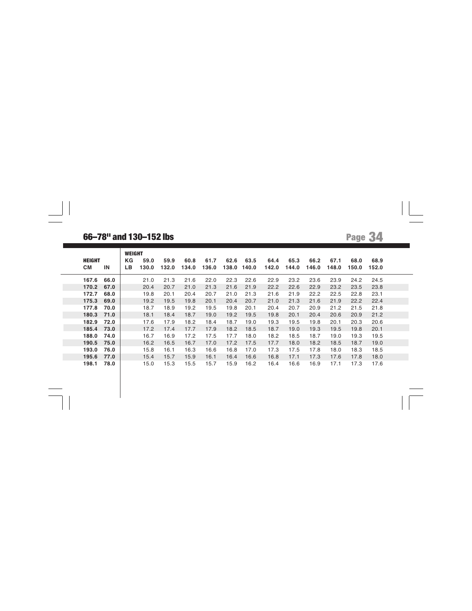**66–78" and 130–152 lbs Page 34**

<span id="page-38-0"></span> $\mathbf{r}$ 

 $\overline{\overline{\eta}}$ 

|               |      | <b>WEIGHT</b> |       |       |       |       |       |       |       |       |       |       |       |       |  |
|---------------|------|---------------|-------|-------|-------|-------|-------|-------|-------|-------|-------|-------|-------|-------|--|
| <b>HEIGHT</b> |      | ΚG            | 59.0  | 59.9  | 60.8  | 61.7  | 62.6  | 63.5  | 64.4  | 65.3  | 66.2  | 67.1  | 68.0  | 68.9  |  |
| CМ            | IN   | LВ            | 130.0 | 132.0 | 134.0 | 136.0 | 138.0 | 140.0 | 142.0 | 144.0 | 146.0 | 148.0 | 150.0 | 152.0 |  |
| 167.6         | 66.0 |               | 21.0  | 21.3  | 21.6  | 22.0  | 22.3  | 22.6  | 22.9  | 23.2  | 23.6  | 23.9  | 24.2  | 24.5  |  |
| 170.2         | 67.0 |               | 20.4  | 20.7  | 21.0  | 21.3  | 21.6  | 21.9  | 22.2  | 22.6  | 22.9  | 23.2  | 23.5  | 23.8  |  |
| 172.7         | 68.0 |               | 19.8  | 20.1  | 20.4  | 20.7  | 21.0  | 21.3  | 21.6  | 21.9  | 22.2  | 22.5  | 22.8  | 23.1  |  |
| 175.3         | 69.0 |               | 19.2  | 19.5  | 19.8  | 20.1  | 20.4  | 20.7  | 21.0  | 21.3  | 21.6  | 21.9  | 22.2  | 22.4  |  |
| 177.8         | 70.0 |               | 18.7  | 18.9  | 19.2  | 19.5  | 19.8  | 20.1  | 20.4  | 20.7  | 20.9  | 21.2  | 21.5  | 21.8  |  |
| 180.3         | 71.0 |               | 18.1  | 18.4  | 18.7  | 19.0  | 19.2  | 19.5  | 19.8  | 20.1  | 20.4  | 20.6  | 20.9  | 21.2  |  |
| 182.9         | 72.0 |               | 17.6  | 17.9  | 18.2  | 18.4  | 18.7  | 19.0  | 19.3  | 19.5  | 19.8  | 20.1  | 20.3  | 20.6  |  |
| 185.4         | 73.0 |               | 17.2  | 17.4  | 17.7  | 17.9  | 18.2  | 18.5  | 18.7  | 19.0  | 19.3  | 19.5  | 19.8  | 20.1  |  |
| 188.0         | 74.0 |               | 16.7  | 16.9  | 17.2  | 17.5  | 17.7  | 18.0  | 18.2  | 18.5  | 18.7  | 19.0  | 19.3  | 19.5  |  |
| 190.5         | 75.0 |               | 16.2  | 16.5  | 16.7  | 17.0  | 17.2  | 17.5  | 17.7  | 18.0  | 18.2  | 18.5  | 18.7  | 19.0  |  |
| 193.0         | 76.0 |               | 15.8  | 16.1  | 16.3  | 16.6  | 16.8  | 17.0  | 17.3  | 17.5  | 17.8  | 18.0  | 18.3  | 18.5  |  |
| 195.6         | 77.0 |               | 15.4  | 15.7  | 15.9  | 16.1  | 16.4  | 16.6  | 16.8  | 17.1  | 17.3  | 17.6  | 17.8  | 18.0  |  |
| 198.1         | 78.0 |               | 15.0  | 15.3  | 15.5  | 15.7  | 15.9  | 16.2  | 16.4  | 16.6  | 16.9  | 17.1  | 17.3  | 17.6  |  |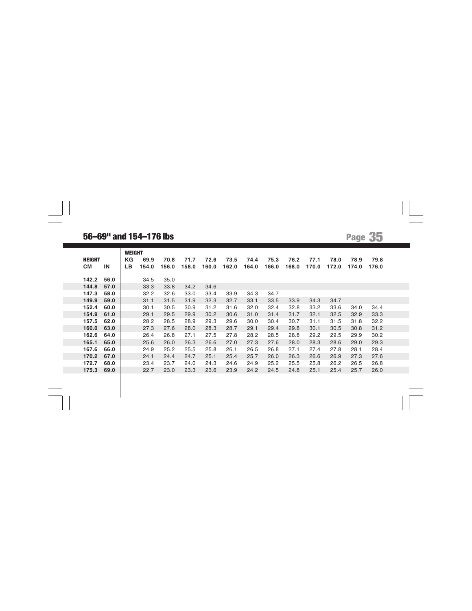**56–69" and 154–176 lbs Page 35**

<span id="page-39-0"></span> $\mathbf{\underline{}}^+$ 

 $\frac{1}{\sqrt{2}}$ 

|               |      | <b>WEIGHT</b> |       |       |       |       |       |       |       |       |       |       |       |       |  |
|---------------|------|---------------|-------|-------|-------|-------|-------|-------|-------|-------|-------|-------|-------|-------|--|
| <b>HEIGHT</b> |      | ΚG            | 69.9  | 70.8  | 71.7  | 72.6  | 73.5  | 74.4  | 75.3  | 76.2  | 77.1  | 78.0  | 78.9  | 79.8  |  |
| CМ            | IN   | LВ            | 154.0 | 156.0 | 158.0 | 160.0 | 162.0 | 164.0 | 166.0 | 168.0 | 170.0 | 172.0 | 174.0 | 176.0 |  |
| 142.2         | 56.0 |               | 34.5  | 35.0  |       |       |       |       |       |       |       |       |       |       |  |
| 144.8         | 57.0 |               | 33.3  | 33.8  | 34.2  | 34.6  |       |       |       |       |       |       |       |       |  |
| 147.3         | 58.0 |               | 32.2  | 32.6  | 33.0  | 33.4  | 33.9  | 34.3  | 34.7  |       |       |       |       |       |  |
| 149.9         | 59.0 |               | 31.1  | 31.5  | 31.9  | 32.3  | 32.7  | 33.1  | 33.5  | 33.9  | 34.3  | 34.7  |       |       |  |
| 152.4         | 60.0 |               | 30.1  | 30.5  | 30.9  | 31.2  | 31.6  | 32.0  | 32.4  | 32.8  | 33.2  | 33.6  | 34.0  | 34.4  |  |
| 154.9         | 61.0 |               | 29.1  | 29.5  | 29.9  | 30.2  | 30.6  | 31.0  | 31.4  | 31.7  | 32.1  | 32.5  | 32.9  | 33.3  |  |
| 157.5         | 62.0 |               | 28.2  | 28.5  | 28.9  | 29.3  | 29.6  | 30.0  | 30.4  | 30.7  | 31.1  | 31.5  | 31.8  | 32.2  |  |
| 160.0         | 63.0 |               | 27.3  | 27.6  | 28.0  | 28.3  | 28.7  | 29.1  | 29.4  | 29.8  | 30.1  | 30.5  | 30.8  | 31.2  |  |
| 162.6         | 64.0 |               | 26.4  | 26.8  | 27.1  | 27.5  | 27.8  | 28.2  | 28.5  | 28.8  | 29.2  | 29.5  | 29.9  | 30.2  |  |
| 165.1         | 65.0 |               | 25.6  | 26.0  | 26.3  | 26.6  | 27.0  | 27.3  | 27.6  | 28.0  | 28.3  | 28.6  | 29.0  | 29.3  |  |
| 167.6         | 66.0 |               | 24.9  | 25.2  | 25.5  | 25.8  | 26.1  | 26.5  | 26.8  | 27.1  | 27.4  | 27.8  | 28.1  | 28.4  |  |
| 170.2         | 67.0 |               | 24.1  | 24.4  | 24.7  | 25.1  | 25.4  | 25.7  | 26.0  | 26.3  | 26.6  | 26.9  | 27.3  | 27.6  |  |
| 172.7         | 68.0 |               | 23.4  | 23.7  | 24.0  | 24.3  | 24.6  | 24.9  | 25.2  | 25.5  | 25.8  | 26.2  | 26.5  | 26.8  |  |
| 175.3         | 69.0 |               | 22.7  | 23.0  | 23.3  | 23.6  | 23.9  | 24.2  | 24.5  | 24.8  | 25.1  | 25.4  | 25.7  | 26.0  |  |
|               |      |               |       |       |       |       |       |       |       |       |       |       |       |       |  |
|               |      |               |       |       |       |       |       |       |       |       |       |       |       |       |  |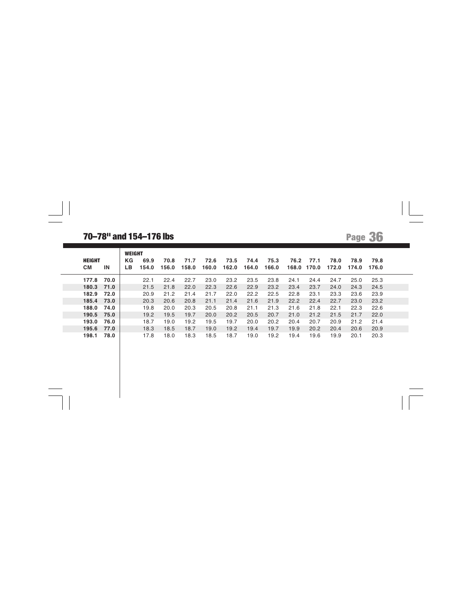<span id="page-40-0"></span>**70–78" and 154–176 lbs Page 36**

 $\overline{\overline{\overline{1}}}$ 

 $\sqrt{2}$ 

|               |      | <b>WEIGHT</b> |       |       |       |       |       |       |       |      |             |       |       |       |  |
|---------------|------|---------------|-------|-------|-------|-------|-------|-------|-------|------|-------------|-------|-------|-------|--|
| <b>HEIGHT</b> |      | ΚG            | 69.9  | 70.8  | 71.7  | 72.6  | 73.5  | 74.4  | 75.3  |      | 76.2 77.1   | 78.0  | 78.9  | 79.8  |  |
| CМ            | IN   | LB.           | 154.0 | 156.0 | 158.0 | 160.0 | 162.0 | 164.0 | 166.0 |      | 168.0 170.0 | 172.0 | 174.0 | 176.0 |  |
| 177.8 70.0    |      |               | 22.1  | 22.4  | 22.7  | 23.0  | 23.2  | 23.5  | 23.8  | 24.1 | 24.4        | 24.7  | 25.0  | 25.3  |  |
| 180.3 71.0    |      |               | 21.5  | 21.8  | 22.0  | 22.3  | 22.6  | 22.9  | 23.2  | 23.4 | 23.7        | 24.0  | 24.3  | 24.5  |  |
| 182.9         | 72.0 |               | 20.9  | 21.2  | 21.4  | 21.7  | 22.0  | 22.2  | 22.5  | 22.8 | 23.1        | 23.3  | 23.6  | 23.9  |  |
| 185.4 73.0    |      |               | 20.3  | 20.6  | 20.8  | 21.1  | 21.4  | 21.6  | 21.9  | 22.2 | 22.4        | 22.7  | 23.0  | 23.2  |  |
| 188.0 74.0    |      |               | 19.8  | 20.0  | 20.3  | 20.5  | 20.8  | 21.1  | 21.3  | 21.6 | 21.8        | 22.1  | 22.3  | 22.6  |  |
| 190.5 75.0    |      |               | 19.2  | 19.5  | 19.7  | 20.0  | 20.2  | 20.5  | 20.7  | 21.0 | 21.2        | 21.5  | 21.7  | 22.0  |  |
| 193.0         | 76.0 |               | 18.7  | 19.0  | 19.2  | 19.5  | 19.7  | 20.0  | 20.2  | 20.4 | 20.7        | 20.9  | 21.2  | 21.4  |  |
| 195.6         | 77.0 |               | 18.3  | 18.5  | 18.7  | 19.0  | 19.2  | 19.4  | 19.7  | 19.9 | 20.2        | 20.4  | 20.6  | 20.9  |  |
| 198.1         | 78.0 |               | 17.8  | 18.0  | 18.3  | 18.5  | 18.7  | 19.0  | 19.2  | 19.4 | 19.6        | 19.9  | 20.1  | 20.3  |  |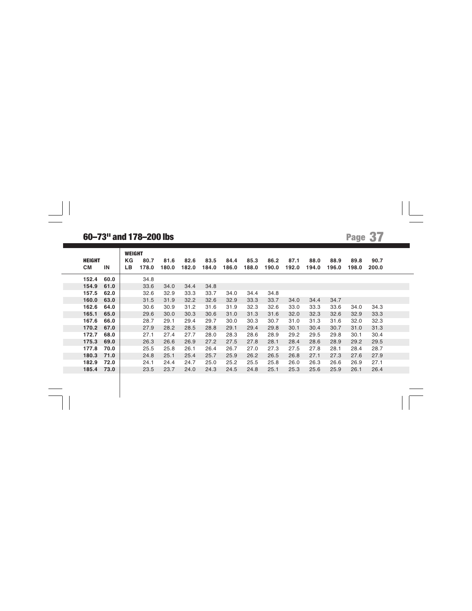**60–73" and 178–200 lbs Page 178–37** 

<span id="page-41-0"></span> $\mathbf{\underline{}}^+$ 

 $\frac{1}{\sqrt{2}}$ 

| <b>HEIGHT</b> |      | <b>WEIGHT</b><br>ΚG | 80.7  | 81.6  | 82.6  | 83.5  | 84.4  | 85.3  | 86.2  | 87.1  | 88.0  | 88.9  | 89.8  | 90.7  |  |
|---------------|------|---------------------|-------|-------|-------|-------|-------|-------|-------|-------|-------|-------|-------|-------|--|
| CМ            | IN   | LВ                  | 178.0 | 180.0 | 182.0 | 184.0 | 186.0 | 188.0 | 190.0 | 192.0 | 194.0 | 196.0 | 198.0 | 200.0 |  |
| 152.4         | 60.0 |                     | 34.8  |       |       |       |       |       |       |       |       |       |       |       |  |
| 154.9         | 61.0 |                     | 33.6  | 34.0  | 34.4  | 34.8  |       |       |       |       |       |       |       |       |  |
| 157.5         | 62.0 |                     | 32.6  | 32.9  | 33.3  | 33.7  | 34.0  | 34.4  | 34.8  |       |       |       |       |       |  |
| 160.0         | 63.0 |                     | 31.5  | 31.9  | 32.2  | 32.6  | 32.9  | 33.3  | 33.7  | 34.0  | 34.4  | 34.7  |       |       |  |
| 162.6         | 64.0 |                     | 30.6  | 30.9  | 31.2  | 31.6  | 31.9  | 32.3  | 32.6  | 33.0  | 33.3  | 33.6  | 34.0  | 34.3  |  |
| 165.1         | 65.0 |                     | 29.6  | 30.0  | 30.3  | 30.6  | 31.0  | 31.3  | 31.6  | 32.0  | 32.3  | 32.6  | 32.9  | 33.3  |  |
| 167.6         | 66.0 |                     | 28.7  | 29.1  | 29.4  | 29.7  | 30.0  | 30.3  | 30.7  | 31.0  | 31.3  | 31.6  | 32.0  | 32.3  |  |
| 170.2         | 67.0 |                     | 27.9  | 28.2  | 28.5  | 28.8  | 29.1  | 29.4  | 29.8  | 30.1  | 30.4  | 30.7  | 31.0  | 31.3  |  |
| 172.7         | 68.0 |                     | 27.1  | 27.4  | 27.7  | 28.0  | 28.3  | 28.6  | 28.9  | 29.2  | 29.5  | 29.8  | 30.1  | 30.4  |  |
| 175.3         | 69.0 |                     | 26.3  | 26.6  | 26.9  | 27.2  | 27.5  | 27.8  | 28.1  | 28.4  | 28.6  | 28.9  | 29.2  | 29.5  |  |
| 177.8         | 70.0 |                     | 25.5  | 25.8  | 26.1  | 26.4  | 26.7  | 27.0  | 27.3  | 27.5  | 27.8  | 28.1  | 28.4  | 28.7  |  |
| 180.3         | 71.0 |                     | 24.8  | 25.1  | 25.4  | 25.7  | 25.9  | 26.2  | 26.5  | 26.8  | 27.1  | 27.3  | 27.6  | 27.9  |  |
| 182.9         | 72.0 |                     | 24.1  | 24.4  | 24.7  | 25.0  | 25.2  | 25.5  | 25.8  | 26.0  | 26.3  | 26.6  | 26.9  | 27.1  |  |
| 185.4         | 73.0 |                     | 23.5  | 23.7  | 24.0  | 24.3  | 24.5  | 24.8  | 25.1  | 25.3  | 25.6  | 25.9  | 26.1  | 26.4  |  |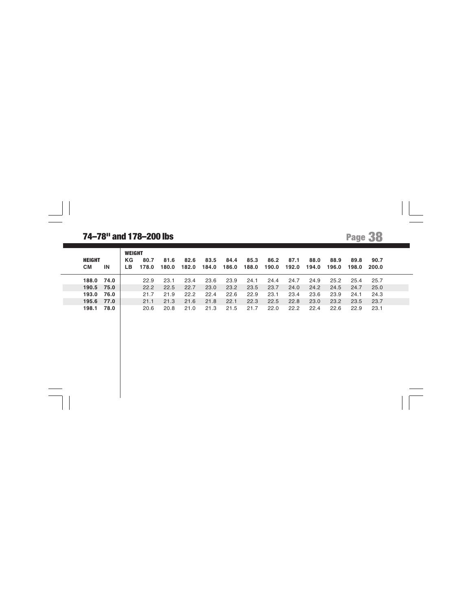**74–78" and 178–200 lbs**

<span id="page-42-0"></span> $\mathbf{\underline{}}^+$ 

|            |      | WEIGHT |       |       |       |       |       |       |       |       |       |       |       |       |  |
|------------|------|--------|-------|-------|-------|-------|-------|-------|-------|-------|-------|-------|-------|-------|--|
| HEIGHT     |      | KG     | 80.7  | 81.6  | 82.6  | 83.5  | 84.4  | 85.3  | 86.2  | 87.1  | 88.0  | 88.9  | 89.8  | 90.7  |  |
| <b>CM</b>  | IN   | LB.    | 178.0 | 180.0 | 182.0 | 184.0 | 186.0 | 188.0 | 190.0 | 192.0 | 194.0 | 196.0 | 198.0 | 200.0 |  |
| 188.0 74.0 |      |        | 22.9  | 23.1  | 23.4  | 23.6  | 23.9  | 24.1  | 24.4  | 24.7  | 24.9  | 25.2  | 25.4  | 25.7  |  |
| 190.5      | 75.0 |        | 22.2  | 22.5  | 22.7  | 23.0  | 23.2  | 23.5  | 23.7  | 24.0  | 24.2  | 24.5  | 24.7  | 25.0  |  |
| 193.0      | 76.0 |        | 21.7  | 21.9  | 22.2  | 22.4  | 22.6  | 22.9  | 23.1  | 23.4  | 23.6  | 23.9  | 24.1  | 24.3  |  |
| 195.6      | 77.0 |        | 21.1  | 21.3  | 21.6  | 21.8  | 22.1  | 22.3  | 22.5  | 22.8  | 23.0  | 23.2  | 23.5  | 23.7  |  |
| 198.1 78.0 |      |        | 20.6  | 20.8  | 21.0  | 21.3  | 21.5  | 21.7  | 22.0  | 22.2  | 22.4  | 22.6  | 22.9  | 23.1  |  |
|            |      |        |       |       |       |       |       |       |       |       |       |       |       |       |  |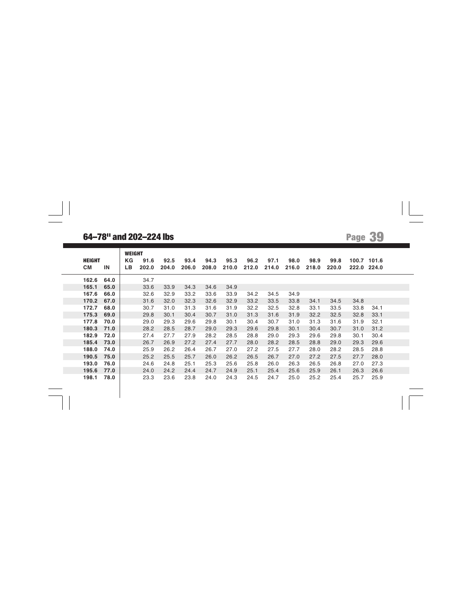**64–78" and 202–224 lbs Page 39**

<span id="page-43-0"></span> $\mathbf{r}$ 

 $\mathbf{L}$ 

|               |      | <b>WEIGHT</b> |       |       |       |       |       |       |       |       |       |       |      |             |  |
|---------------|------|---------------|-------|-------|-------|-------|-------|-------|-------|-------|-------|-------|------|-------------|--|
| <b>HEIGHT</b> |      | ΚG            | 91.6  | 92.5  | 93.4  | 94.3  | 95.3  | 96.2  | 97.1  | 98.0  | 98.9  | 99.8  |      | 100.7 101.6 |  |
| CМ            | IN   | LВ            | 202.0 | 204.0 | 206.0 | 208.0 | 210.0 | 212.0 | 214.0 | 216.0 | 218.0 | 220.0 |      | 222.0 224.0 |  |
| 162.6         | 64.0 |               | 34.7  |       |       |       |       |       |       |       |       |       |      |             |  |
| 165.1         | 65.0 |               | 33.6  | 33.9  | 34.3  | 34.6  | 34.9  |       |       |       |       |       |      |             |  |
| 167.6         | 66.0 |               | 32.6  | 32.9  | 33.2  | 33.6  | 33.9  | 34.2  | 34.5  | 34.9  |       |       |      |             |  |
| 170.2         | 67.0 |               | 31.6  | 32.0  | 32.3  | 32.6  | 32.9  | 33.2  | 33.5  | 33.8  | 34.1  | 34.5  | 34.8 |             |  |
| 172.7         | 68.0 |               | 30.7  | 31.0  | 31.3  | 31.6  | 31.9  | 32.2  | 32.5  | 32.8  | 33.1  | 33.5  | 33.8 | 34.1        |  |
| 175.3         | 69.0 |               | 29.8  | 30.1  | 30.4  | 30.7  | 31.0  | 31.3  | 31.6  | 31.9  | 32.2  | 32.5  | 32.8 | 33.1        |  |
| 177.8         | 70.0 |               | 29.0  | 29.3  | 29.6  | 29.8  | 30.1  | 30.4  | 30.7  | 31.0  | 31.3  | 31.6  | 31.9 | 32.1        |  |
| 180.3         | 71.0 |               | 28.2  | 28.5  | 28.7  | 29.0  | 29.3  | 29.6  | 29.8  | 30.1  | 30.4  | 30.7  | 31.0 | 31.2        |  |
| 182.9         | 72.0 |               | 27.4  | 27.7  | 27.9  | 28.2  | 28.5  | 28.8  | 29.0  | 29.3  | 29.6  | 29.8  | 30.1 | 30.4        |  |
| 185.4         | 73.0 |               | 26.7  | 26.9  | 27.2  | 27.4  | 27.7  | 28.0  | 28.2  | 28.5  | 28.8  | 29.0  | 29.3 | 29.6        |  |
| 188.0         | 74.0 |               | 25.9  | 26.2  | 26.4  | 26.7  | 27.0  | 27.2  | 27.5  | 27.7  | 28.0  | 28.2  | 28.5 | 28.8        |  |
| 190.5         | 75.0 |               | 25.2  | 25.5  | 25.7  | 26.0  | 26.2  | 26.5  | 26.7  | 27.0  | 27.2  | 27.5  | 27.7 | 28.0        |  |
| 193.0         | 76.0 |               | 24.6  | 24.8  | 25.1  | 25.3  | 25.6  | 25.8  | 26.0  | 26.3  | 26.5  | 26.8  | 27.0 | 27.3        |  |
| 195.6         | 77.0 |               | 24.0  | 24.2  | 24.4  | 24.7  | 24.9  | 25.1  | 25.4  | 25.6  | 25.9  | 26.1  | 26.3 | 26.6        |  |
| 198.1         | 78.0 |               | 23.3  | 23.6  | 23.8  | 24.0  | 24.3  | 24.5  | 24.7  | 25.0  | 25.2  | 25.4  | 25.7 | 25.9        |  |
|               |      |               |       |       |       |       |       |       |       |       |       |       |      |             |  |
|               |      |               |       |       |       |       |       |       |       |       |       |       |      |             |  |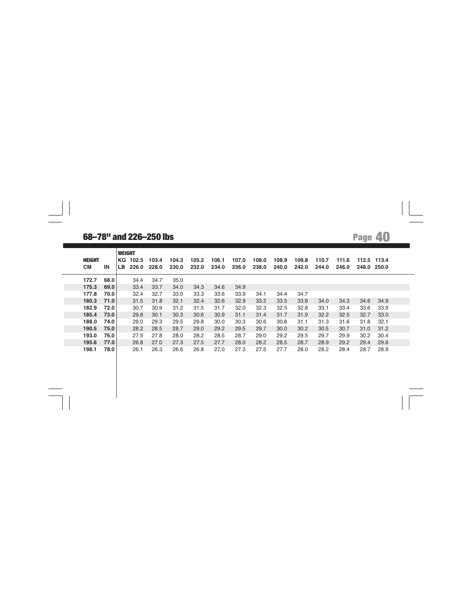**68–78" and 226–250 lbs Page Page 40**

<span id="page-44-0"></span> $\begin{array}{c|c} \hline \quad \quad & \quad \quad & \quad \quad \\ \hline \quad \quad & \quad \quad & \quad \quad \\ \hline \quad \quad & \quad \quad & \quad \quad \\ \hline \end{array}$ 

г

 $\frac{1}{\sqrt{2}}$ 

|               |      | <b>WEIGHT</b> |       |       |       |       |       |       |       |       |       |       |       |       |             |
|---------------|------|---------------|-------|-------|-------|-------|-------|-------|-------|-------|-------|-------|-------|-------|-------------|
| <b>HEIGHT</b> |      | KG            | 102.5 | 103.4 | 104.3 | 105.2 | 106.1 | 107.0 | 108.0 | 108.9 | 109.8 | 110.7 | 111.6 |       | 112.5 113.4 |
| <b>CM</b>     | IN   | LB.           | 226.0 | 228.0 | 230.0 | 232.0 | 234.0 | 236.0 | 238.0 | 240.0 | 242.0 | 244.0 | 246.0 | 248.0 | 250.0       |
| 172.7         | 68.0 |               | 34.4  | 34.7  | 35.0  |       |       |       |       |       |       |       |       |       |             |
| 175.3         | 69.0 |               | 33.4  | 33.7  | 34.0  | 34.3  | 34.6  | 34.9  |       |       |       |       |       |       |             |
| 177.8         | 70.0 |               | 32.4  | 32.7  | 33.0  | 33.3  | 33.6  | 33.9  | 34.1  | 34.4  | 34.7  |       |       |       |             |
| 180.3         | 71.0 |               | 31.5  | 31.8  | 32.1  | 32.4  | 32.6  | 32.9  | 33.2  | 33.5  | 33.8  | 34.0  | 34.3  | 34.6  | 34.9        |
| 182.9         | 72.0 |               | 30.7  | 30.9  | 31.2  | 31.5  | 31.7  | 32.0  | 32.3  | 32.5  | 32.8  | 33.1  | 33.4  | 33.6  | 33.9        |
| 185.4         | 73.0 |               | 29.8  | 30.1  | 30.3  | 30.6  | 30.9  | 31.1  | 31.4  | 31.7  | 31.9  | 32.2  | 32.5  | 32.7  | 33.0        |
| 188.0         | 74.0 |               | 29.0  | 29.3  | 29.5  | 29.8  | 30.0  | 30.3  | 30.6  | 30.8  | 31.1  | 31.3  | 31.6  | 31.8  | 32.1        |
| 190.5         | 75.0 |               | 28.2  | 28.5  | 28.7  | 29.0  | 29.2  | 29.5  | 29.7  | 30.0  | 30.2  | 30.5  | 30.7  | 31.0  | 31.2        |
| 193.0         | 76.0 |               | 27.5  | 27.8  | 28.0  | 28.2  | 28.5  | 28.7  | 29.0  | 29.2  | 29.5  | 29.7  | 29.9  | 30.2  | 30.4        |
| 195.6         | 77.0 |               | 26.8  | 27.0  | 27.3  | 27.5  | 27.7  | 28.0  | 28.2  | 28.5  | 28.7  | 28.9  | 29.2  | 29.4  | 29.6        |
| 198.1         | 78.0 |               | 26.1  | 26.3  | 26.6  | 26.8  | 27.0  | 27.3  | 27.5  | 27.7  | 28.0  | 28.2  | 28.4  | 28.7  | 28.9        |

 $\overline{\mathcal{L}}$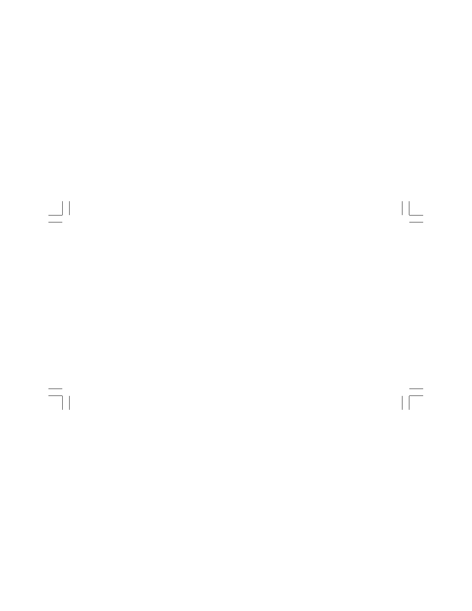$\begin{tabular}{|c|c|c|c|c|} \hline & & & & \\ \hline \hline & & & & \\ \hline \hline & & & & \\ \hline \hline \end{tabular}$  $\frac{1}{\sqrt{2}}$ 

 $\sqrt{\frac{1}{\sqrt{2}}}$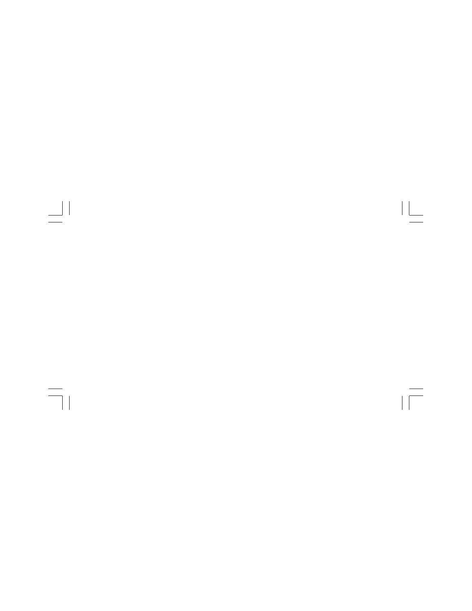$\begin{tabular}{|c|c|c|c|c|} \hline & & & & \\ \hline \hline & & & & \\ \hline \hline & & & & \\ \hline \hline \end{tabular}$  $\frac{1}{\sqrt{2}}$ 

 $\sqrt{\frac{1}{\sqrt{2}}}$